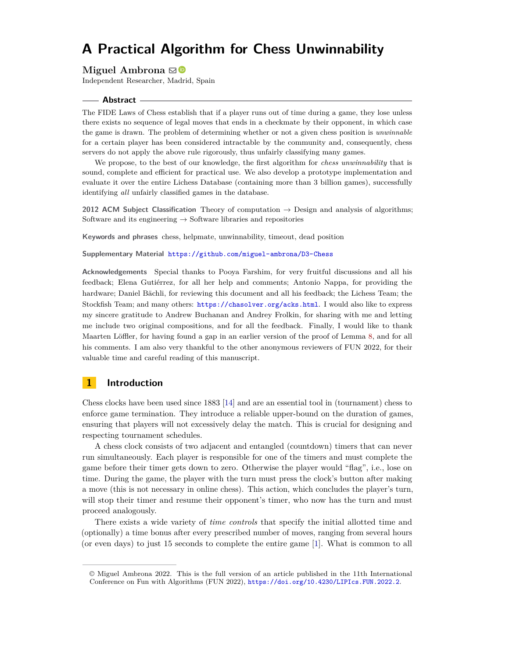#### **Miguel Ambrona**

Independent Researcher, Madrid, Spain

#### **Abstract**

The FIDE Laws of Chess establish that if a player runs out of time during a game, they lose unless there exists no sequence of legal moves that ends in a checkmate by their opponent, in which case the game is drawn. The problem of determining whether or not a given chess position is *unwinnable* for a certain player has been considered intractable by the community and, consequently, chess servers do not apply the above rule rigorously, thus unfairly classifying many games.

We propose, to the best of our knowledge, the first algorithm for *chess unwinnability* that is sound, complete and efficient for practical use. We also develop a prototype implementation and evaluate it over the entire Lichess Database (containing more than 3 billion games), successfully identifying *all* unfairly classified games in the database.

**2012 ACM Subject Classification** Theory of computation → Design and analysis of algorithms; Software and its engineering  $\rightarrow$  Software libraries and repositories

**Keywords and phrases** chess, helpmate, unwinnability, timeout, dead position

**Supplementary Material** <https://github.com/miguel-ambrona/D3-Chess>

**Acknowledgements** Special thanks to Pooya Farshim, for very fruitful discussions and all his feedback; Elena Gutiérrez, for all her help and comments; Antonio Nappa, for providing the hardware; Daniel Bächli, for reviewing this document and all his feedback; the Lichess Team; the Stockfish Team; and many others: <https://chasolver.org/acks.html>. I would also like to express my sincere gratitude to Andrew Buchanan and Andrey Frolkin, for sharing with me and letting me include two original compositions, and for all the feedback. Finally, I would like to thank Maarten Löffler, for having found a gap in an earlier version of the proof of Lemma [8,](#page-9-0) and for all his comments. I am also very thankful to the other anonymous reviewers of FUN 2022, for their valuable time and careful reading of this manuscript.

# **1 Introduction**

Chess clocks have been used since 1883 [\[14\]](#page-19-0) and are an essential tool in (tournament) chess to enforce game termination. They introduce a reliable upper-bound on the duration of games, ensuring that players will not excessively delay the match. This is crucial for designing and respecting tournament schedules.

A chess clock consists of two adjacent and entangled (countdown) timers that can never run simultaneously. Each player is responsible for one of the timers and must complete the game before their timer gets down to zero. Otherwise the player would "flag", i.e., lose on time. During the game, the player with the turn must press the clock's button after making a move (this is not necessary in online chess). This action, which concludes the player's turn, will stop their timer and resume their opponent's timer, who now has the turn and must proceed analogously.

There exists a wide variety of *time controls* that specify the initial allotted time and (optionally) a time bonus after every prescribed number of moves, ranging from several hours (or even days) to just 15 seconds to complete the entire game [\[1\]](#page-19-1). What is common to all

<sup>©</sup> Miguel Ambrona 2022. This is the full version of an article published in the 11th International Conference on Fun with Algorithms (FUN 2022), <https://doi.org/10.4230/LIPIcs.FUN.2022.2>.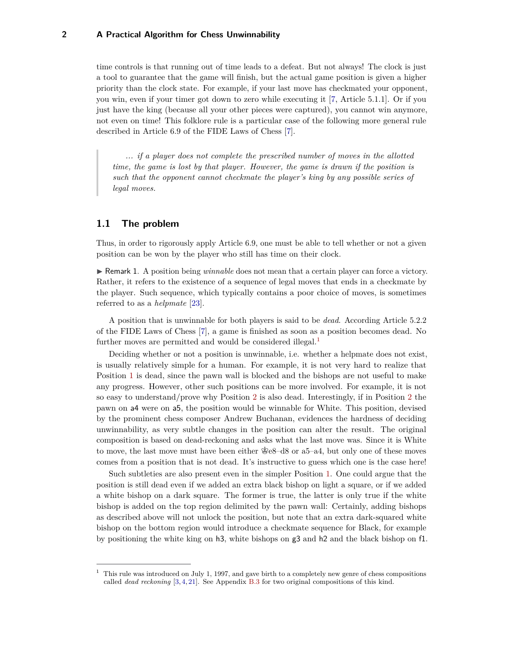time controls is that running out of time leads to a defeat. But not always! The clock is just a tool to guarantee that the game will finish, but the actual game position is given a higher priority than the clock state. For example, if your last move has checkmated your opponent, you win, even if your timer got down to zero while executing it [\[7,](#page-19-2) Article 5.1.1]. Or if you just have the king (because all your other pieces were captured), you cannot win anymore, not even on time! This folklore rule is a particular case of the following more general rule described in Article 6.9 of the FIDE Laws of Chess [\[7\]](#page-19-2).

*... if a player does not complete the prescribed number of moves in the allotted time, the game is lost by that player. However, the game is drawn if the position is such that the opponent cannot checkmate the player's king by any possible series of legal moves.*

## **1.1 The problem**

Thus, in order to rigorously apply Article 6.9, one must be able to tell whether or not a given position can be won by the player who still has time on their clock.

**F** Remark 1. A position being *winnable* does not mean that a certain player can force a victory. Rather, it refers to the existence of a sequence of legal moves that ends in a checkmate by the player. Such sequence, which typically contains a poor choice of moves, is sometimes referred to as a *helpmate* [\[23\]](#page-19-3).

A position that is unwinnable for both players is said to be *dead*. According Article 5.2.2 of the FIDE Laws of Chess [\[7\]](#page-19-2), a game is finished as soon as a position becomes dead. No further moves are permitted and would be considered illegal.<sup>[1](#page-1-0)</sup>

Deciding whether or not a position is unwinnable, i.e. whether a helpmate does not exist, is usually relatively simple for a human. For example, it is not very hard to realize that Position [1](#page-2-0) is dead, since the pawn wall is blocked and the bishops are not useful to make any progress. However, other such positions can be more involved. For example, it is not so easy to understand/prove why Position [2](#page-2-0) is also dead. Interestingly, if in Position [2](#page-2-0) the pawn on a4 were on a5, the position would be winnable for White. This position, devised by the prominent chess composer Andrew Buchanan, evidences the hardness of deciding unwinnability, as very subtle changes in the position can alter the result. The original composition is based on dead-reckoning and asks what the last move was. Since it is White to move, the last move must have been either  $\mathcal{E}e8-d8$  or a 5–a4, but only one of these moves comes from a position that is not dead. It's instructive to guess which one is the case here!

Such subtleties are also present even in the simpler Position [1.](#page-2-0) One could argue that the position is still dead even if we added an extra black bishop on light a square, or if we added a white bishop on a dark square. The former is true, the latter is only true if the white bishop is added on the top region delimited by the pawn wall: Certainly, adding bishops as described above will not unlock the position, but note that an extra dark-squared white bishop on the bottom region would introduce a checkmate sequence for Black, for example by positioning the white king on h3, white bishops on g3 and h2 and the black bishop on f1.

<span id="page-1-0"></span><sup>1</sup> This rule was introduced on July 1, 1997, and gave birth to a completely new genre of chess compositions called *dead reckoning* [\[3,](#page-19-4) [4,](#page-19-5) [21\]](#page-19-6). See Appendix [B.3](#page-23-0) for two original compositions of this kind.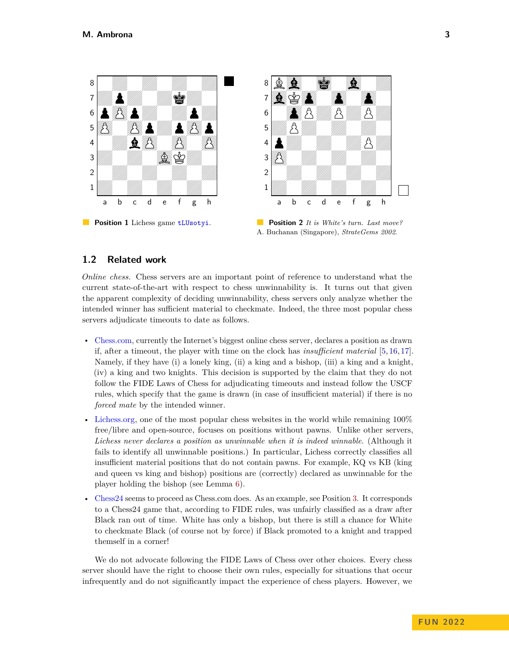<span id="page-2-0"></span>

**Position 1** Lichess game [tLUsotyi](https://lichess.org/tLUsotyi#107).

**Position 2** *It is White's turn. Last move?* A. Buchanan (Singapore), *StrateGems 2002*.

### **1.2 Related work**

*Online chess.* Chess servers are an important point of reference to understand what the current state-of-the-art with respect to chess unwinnability is. It turns out that given the apparent complexity of deciding unwinnability, chess servers only analyze whether the intended winner has sufficient material to checkmate. Indeed, the three most popular chess servers adjudicate timeouts to date as follows.

- [Chess.com,](https://www.chess.com/home) currently the Internet's biggest online chess server, declares a position as drawn if, after a timeout, the player with time on the clock has *insufficient material* [\[5,](#page-19-7) [16,](#page-19-8) [17\]](#page-19-9). Namely, if they have (i) a lonely king, (ii) a king and a bishop, (iii) a king and a knight, (iv) a king and two knights. This decision is supported by the claim that they do not follow the FIDE Laws of Chess for adjudicating timeouts and instead follow the USCF rules, which specify that the game is drawn (in case of insufficient material) if there is no *forced mate* by the intended winner.
- [Lichess.org,](https://lichess.org) one of the most popular chess websites in the world while remaining 100% free/libre and open-source, focuses on positions without pawns. Unlike other servers, *Lichess never declares a position as unwinnable when it is indeed winnable*. (Although it fails to identify all unwinnable positions.) In particular, Lichess correctly classifies all insufficient material positions that do not contain pawns. For example, KQ vs KB (king and queen vs king and bishop) positions are (correctly) declared as unwinnable for the player holding the bishop (see Lemma [6\)](#page-6-0).
- [Chess24](https://chess24.com) seems to proceed as Chess.com does. As an example, see Position [3.](#page-3-0) It corresponds to a Chess24 game that, according to FIDE rules, was unfairly classified as a draw after Black ran out of time. White has only a bishop, but there is still a chance for White to checkmate Black (of course not by force) if Black promoted to a knight and trapped themself in a corner!

We do not advocate following the FIDE Laws of Chess over other choices. Every chess server should have the right to choose their own rules, especially for situations that occur infrequently and do not significantly impact the experience of chess players. However, we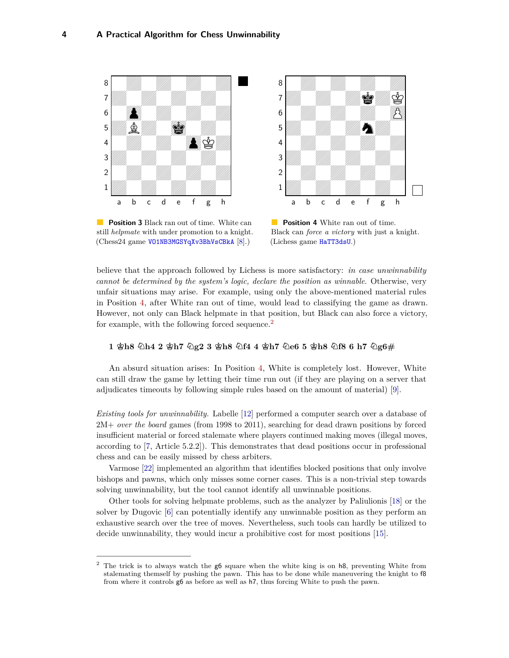<span id="page-3-0"></span>

**Position 3** Black ran out of time. White can still *helpmate* with under promotion to a knight. (Chess24 game [VO1NB3MGSYqXv3BhVsCBkA](https://chess24.com/en/game/VO1NB3MGSYqXv3BhVsCBkA) [\[8\]](#page-19-10).)



**Position 4** White ran out of time. Black can *force a victory* with just a knight. (Lichess game [HaTT3dsU](https://lichess.org/HaTT3dsU#124).)

believe that the approach followed by Lichess is more satisfactory: *in case unwinnability cannot be determined by the system's logic, declare the position as winnable*. Otherwise, very unfair situations may arise. For example, using only the above-mentioned material rules in Position [4,](#page-3-0) after White ran out of time, would lead to classifying the game as drawn. However, not only can Black helpmate in that position, but Black can also force a victory, for example, with the following forced sequence.<sup>[2](#page-3-1)</sup>

### **1 Kh8 Nh4 2 Kh7 Ng2 3 Kh8 Nf4 4 Kh7 Ne6 5 Kh8 Nf8 6 h7 Ng6#**

An absurd situation arises: In Position [4,](#page-3-0) White is completely lost. However, White can still draw the game by letting their time run out (if they are playing on a server that adjudicates timeouts by following simple rules based on the amount of material) [\[9\]](#page-19-11).

*Existing tools for unwinnability.* Labelle [\[12\]](#page-19-12) performed a computer search over a database of 2M+ *over the board* games (from 1998 to 2011), searching for dead drawn positions by forced insufficient material or forced stalemate where players continued making moves (illegal moves, according to [\[7,](#page-19-2) Article 5.2.2]). This demonstrates that dead positions occur in professional chess and can be easily missed by chess arbiters.

Varmose [\[22\]](#page-19-13) implemented an algorithm that identifies blocked positions that only involve bishops and pawns, which only misses some corner cases. This is a non-trivial step towards solving unwinnability, but the tool cannot identify all unwinnable positions.

Other tools for solving helpmate problems, such as the analyzer by Paliulionis [\[18\]](#page-19-14) or the solver by Dugovic [\[6\]](#page-19-15) can potentially identify any unwinnable position as they perform an exhaustive search over the tree of moves. Nevertheless, such tools can hardly be utilized to decide unwinnability, they would incur a prohibitive cost for most positions [\[15\]](#page-19-16).

<span id="page-3-1"></span><sup>&</sup>lt;sup>2</sup> The trick is to always watch the g6 square when the white king is on h8, preventing White from stalemating themself by pushing the pawn. This has to be done while maneuvering the knight to f8 from where it controls g6 as before as well as h7, thus forcing White to push the pawn.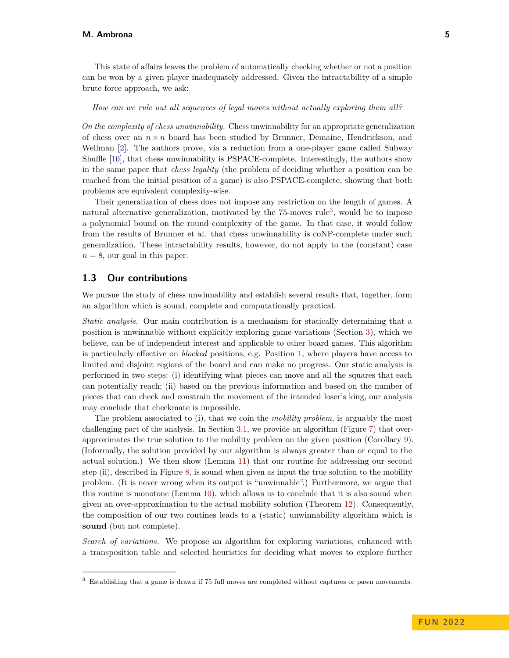This state of affairs leaves the problem of automatically checking whether or not a position can be won by a given player inadequately addressed. Given the intractability of a simple brute force approach, we ask:

#### *How can we rule out all sequences of legal moves without actually exploring them all?*

*On the complexity of chess unwinnability.* Chess unwinnability for an appropriate generalization of chess over an  $n \times n$  board has been studied by Brunner, Demaine, Hendrickson, and Wellman [\[2\]](#page-19-17). The authors prove, via a reduction from a one-player game called Subway Shuffle [\[10\]](#page-19-18), that chess unwinnability is PSPACE-complete. Interestingly, the authors show in the same paper that *chess legality* (the problem of deciding whether a position can be reached from the initial position of a game) is also PSPACE-complete, showing that both problems are equivalent complexity-wise.

Their generalization of chess does not impose any restriction on the length of games. A natural alternative generalization, motivated by the 75-moves rule<sup>[3](#page-4-0)</sup>, would be to impose a polynomial bound on the round complexity of the game. In that case, it would follow from the results of Brunner et al. that chess unwinnability is coNP-complete under such generalization. These intractability results, however, do not apply to the (constant) case  $n = 8$ , our goal in this paper.

### **1.3 Our contributions**

We pursue the study of chess unwinnability and establish several results that, together, form an algorithm which is sound, complete and computationally practical.

*Static analysis.* Our main contribution is a mechanism for statically determining that a position is unwinnable without explicitly exploring game variations (Section [3\)](#page-8-0), which we believe, can be of independent interest and applicable to other board games. This algorithm is particularly effective on *blocked* positions, e.g. Position [1,](#page-2-0) where players have access to limited and disjoint regions of the board and can make no progress. Our static analysis is performed in two steps: (i) identifying what pieces can move and all the squares that each can potentially reach; (ii) based on the previous information and based on the number of pieces that can check and constrain the movement of the intended loser's king, our analysis may conclude that checkmate is impossible.

The problem associated to (i), that we coin the *mobility problem*, is arguably the most challenging part of the analysis. In Section [3.1,](#page-8-1) we provide an algorithm (Figure [7\)](#page-11-0) that overapproximates the true solution to the mobility problem on the given position (Corollary [9\)](#page-12-0). (Informally, the solution provided by our algorithm is always greater than or equal to the actual solution.) We then show (Lemma [11\)](#page-14-0) that our routine for addressing our second step (ii), described in Figure [8,](#page-13-0) is sound when given as input the true solution to the mobility problem. (It is never wrong when its output is "unwinnable".) Furthermore, we argue that this routine is monotone (Lemma [10\)](#page-13-1), which allows us to conclude that it is also sound when given an over-approximation to the actual mobility solution (Theorem [12\)](#page-14-1). Consequently, the composition of our two routines leads to a (static) unwinnability algorithm which is **sound** (but not complete).

*Search of variations.* We propose an algorithm for exploring variations, enhanced with a transposition table and selected heuristics for deciding what moves to explore further

<span id="page-4-0"></span><sup>3</sup> Establishing that a game is drawn if 75 full moves are completed without captures or pawn movements.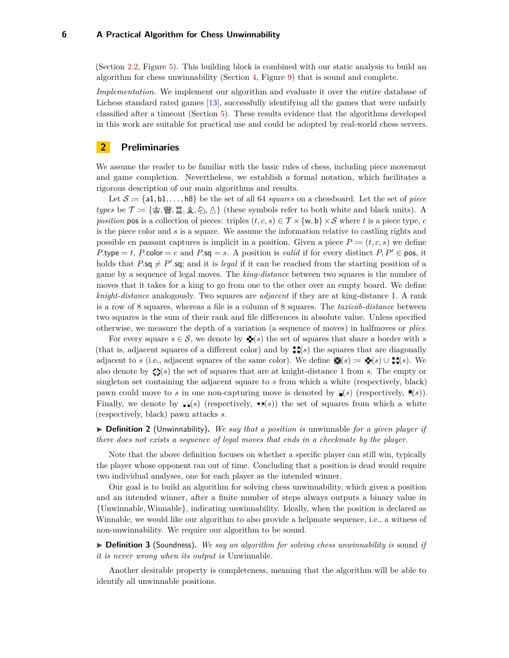(Section [2.2,](#page-7-0) Figure [5\)](#page-7-1). This building block is combined with our static analysis to build an algorithm for chess unwinnability (Section [4,](#page-15-0) Figure [9\)](#page-15-1) that is sound and complete.

*Implementation*. We implement our algorithm and evaluate it over the entire database of Lichess standard rated games [\[13\]](#page-19-19), successfully identifying all the games that were unfairly classified after a timeout (Section [5\)](#page-17-0). These results evidence that the algorithms developed in this work are suitable for practical use and could be adopted by real-world chess servers.

### **2 Preliminaries**

We assume the reader to be familiar with the basic rules of chess, including piece movement and game completion. Nevertheless, we establish a formal notation, which facilitates a rigorous description of our main algorithms and results.

Let  $S = \{a1, b1, \ldots, b8\}$  be the set of all 64 *squares* on a chessboard. Let the set of *piece* types be  $\mathcal{T} := \{\&$ ,  $\&$ ,  $\&$ ,  $\&$ ,  $\&$ ,  $\wedge$   $\wedge$  and these symbols refer to both white and black units). A *position* pos is a collection of pieces: triples  $(t, c, s) \in T \times \{w, b\} \times S$  where *t* is a piece type, *c* is the piece color and *s* is a square. We assume the information relative to castling rights and possible en passant captures is implicit in a position. Given a piece  $P := (t, c, s)$  we define  $P.\text{type} = t$ ,  $P.\text{color} = c$  and  $P.\text{sq} = s$ . A position is *valid* if for every distinct  $P, P' \in \text{pos}$ , it holds that  $P.\mathsf{sq} \neq P'.\mathsf{sq}$ ; and it is *legal* if it can be reached from the starting position of a game by a sequence of legal moves. The *king-distance* between two squares is the number of moves that it takes for a king to go from one to the other over an empty board. We define *knight-distance* analogously. Two squares are *adjacent* if they are at king-distance 1. A rank is a row of 8 squares, whereas a file is a column of 8 squares. The *taxicab-distance* between two squares is the sum of their rank and file differences in absolute value. Unless specified otherwise, we measure the depth of a variation (a sequence of moves) in halfmoves or *plies*.

For every square  $s \in \mathcal{S}$ , we denote by  $\blacktriangleleft(s)$  the set of squares that share a border with *s* (that is, adjacent squares of a different color) and by  $\mathbb{H}(s)$  the squares that are diagonally adjacent to *s* (i.e., adjacent squares of the same color). We define  $\blacksquare(s) := \blacklozenge(s) \cup \blacksquare(s)$ . We also denote by (*s*) the set of squares that are at knight-distance 1 from *s*. The empty or singleton set containing the adjacent square to *s* from which a white (respectively, black) pawn could move to *s* in one non-capturing move is denoted by  $\mathbb{I}(s)$  (respectively,  $\mathbb{I}(s)$ ). Finally, we denote by  $\mathbf{F}(s)$  (respectively,  $\mathbf{F}(s)$ ) the set of squares from which a white (respectively, black) pawn attacks *s*.

 $\triangleright$  **Definition 2** (Unwinnability). We say that a position is unwinnable for a given player if *there does not exists a sequence of legal moves that ends in a checkmate by the player.*

Note that the above definition focuses on whether a specific player can still win, typically the player whose opponent ran out of time. Concluding that a position is dead would require two individual analyses, one for each player as the intended winner.

Our goal is to build an algorithm for solving chess unwinnability, which given a position and an intended winner, after a finite number of steps always outputs a binary value in {Unwinnable*,*Winnable}, indicating unwinnability. Ideally, when the position is declared as Winnable, we would like our algorithm to also provide a helpmate sequence, i.e., a witness of non-unwinnability. We require our algorithm to be sound.

▶ **Definition 3** (Soundness). We say an algorithm for solving chess unwinnability is sound if *it is never wrong when its output is* Unwinnable*.*

Another desirable property is completeness, meaning that the algorithm will be able to identify all unwinnable positions.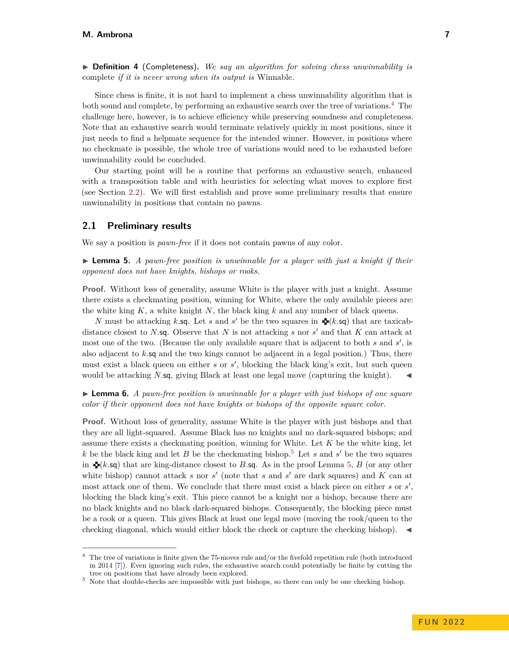▶ **Definition 4** (Completeness). *We say an algorithm for solving chess unwinnability is* complete *if it is never wrong when its output is* Winnable*.*

Since chess is finite, it is not hard to implement a chess unwinnability algorithm that is both sound and complete, by performing an exhaustive search over the tree of variations.[4](#page-6-1) The challenge here, however, is to achieve efficiency while preserving soundness and completeness. Note that an exhaustive search would terminate relatively quickly in most positions, since it just needs to find a helpmate sequence for the intended winner. However, in positions where no checkmate is possible, the whole tree of variations would need to be exhausted before unwinnability could be concluded.

Our starting point will be a routine that performs an exhaustive search, enhanced with a transposition table and with heuristics for selecting what moves to explore first (see Section [2.2\)](#page-7-0). We will first establish and prove some preliminary results that ensure unwinnability in positions that contain no pawns.

### **2.1 Preliminary results**

We say a position is *pawn-free* if it does not contain pawns of any color.

<span id="page-6-3"></span>► **Lemma 5.** *A pawn-free position is unwinnable for a player with just a knight if their opponent does not have knights, bishops or rooks.*

**Proof.** Without loss of generality, assume White is the player with just a knight. Assume there exists a checkmating position, winning for White, where the only available pieces are: the white king *K*, a white knight *N*, the black king *k* and any number of black queens.

*N* must be attacking *k*.sq. Let *s* and *s*' be the two squares in  $\mathbf{\Phi}(k.\mathsf{sq})$  that are taxicabdistance closest to *N*.sq. Observe that  $N$  is not attacking  $s$  nor  $s'$  and that  $K$  can attack at most one of the two. (Because the only available square that is adjacent to both *s* and *s'*, is also adjacent to *k.*sq and the two kings cannot be adjacent in a legal position.) Thus, there must exist a black queen on either  $s$  or  $s'$ , blocking the black king's exit, but such queen would be attacking *N*.sq, giving Black at least one legal move (capturing the knight).  $\blacktriangleleft$ 

<span id="page-6-0"></span>► Lemma 6. *A pawn-free position is unwinnable for a player with just bishops of one square color if their opponent does not have knights or bishops of the opposite square color.*

**Proof.** Without loss of generality, assume White is the player with just bishops and that they are all light-squared. Assume Black has no knights and no dark-squared bishops; and assume there exists a checkmating position, winning for White. Let *K* be the white king, let *k* be the black king and let *B* be the checkmating bishop.<sup>[5](#page-6-2)</sup> Let *s* and  $s'$  be the two squares in  $\blacktriangleright$  (*k.*sq) that are king-distance closest to *B.*sq. As in the proof Lemma [5,](#page-6-3) *B* (or any other white bishop) cannot attack  $s$  nor  $s'$  (note that  $s$  and  $s'$  are dark squares) and  $K$  can at most attack one of them. We conclude that there must exist a black piece on either  $s$  or  $s'$ , blocking the black king's exit. This piece cannot be a knight nor a bishop, because there are no black knights and no black dark-squared bishops. Consequently, the blocking piece must be a rook or a queen. This gives Black at least one legal move (moving the rook/queen to the checking diagonal, which would either block the check or capture the checking bishop).  $\blacktriangleleft$ 

<span id="page-6-1"></span><sup>&</sup>lt;sup>4</sup> The tree of variations is finite given the 75-moves rule and/or the fivefold repetition rule (both introduced in 2014 [\[7\]](#page-19-2)). Even ignoring such rules, the exhaustive search could potentially be finite by cutting the tree on positions that have already been explored.

<span id="page-6-2"></span><sup>5</sup> Note that double-checks are impossible with just bishops, so there can only be one checking bishop.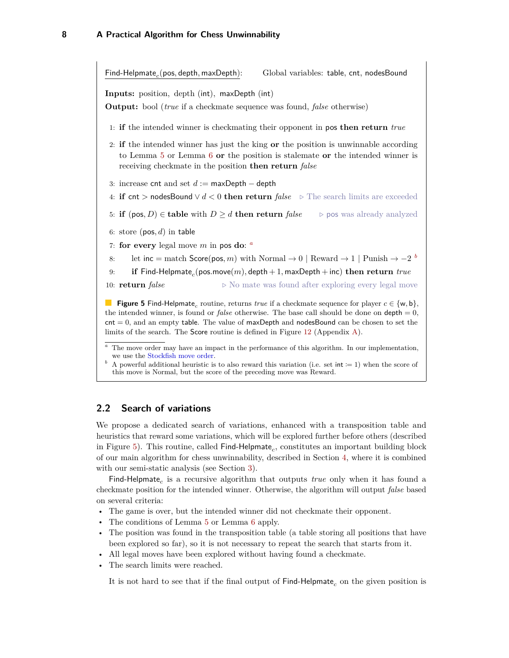<span id="page-7-1"></span>Find-Helpmate<sub>c</sub>(pos, depth, maxDepth): Global variables: table, cnt, nodesBound **Inputs:** position, depth (int), maxDepth (int) **Output:** bool (*true* if a checkmate sequence was found, *false* otherwise) 1: **if** the intended winner is checkmating their opponent in pos **then return** *true* 2: **if** the intended winner has just the king **or** the position is unwinnable according to Lemma [5](#page-6-3) or Lemma [6](#page-6-0) **or** the position is stalemate **or** the intended winner is receiving checkmate in the position **then return** *false* 3: increase cnt and set *d* := maxDepth − depth 4: **if** cnt *>* nodesBound ∨ *d <* 0 **then return** *false .* The search limits are exceeded 5: **if**  $(\text{pos}, D) \in \text{table with } D \geq d$  **then return** *false*  $\Rightarrow$  pos was already analyzed 6: store (pos*, d*) in table 7: **for every** leg[a](#page-7-2)l move  $m$  in pos do:  $\alpha$ 8: let inc = match Score(pos, m) with Normal  $\rightarrow 0$  | Reward  $\rightarrow 1$  | Punish  $\rightarrow -2$  *[b](#page-7-3)* 9: **if** Find-Helpmate*<sup>c</sup>* (pos*.*move(*m*)*,* depth + 1*,* maxDepth + inc) **then return** *true* 10: **return**  $false$   $\triangleright$  No mate was found after exploring every legal move **Figure 5** Find-Helpmate<sub>c</sub> routine, returns *true* if a checkmate sequence for player  $c \in \{w, b\}$ , the intended winner, is found or *false* otherwise. The base call should be done on  $depth = 0$ ,  $\text{cnt} = 0$ , and an empty table. The value of maxDepth and nodesBound can be chosen to set the

<span id="page-7-2"></span>The move order may have an impact in the performance of this algorithm. In our implementation, we use the [Stockfish move order.](https://github.com/official-stockfish/Stockfish/blob/master/src/movegen.cpp)

limits of the search. The Score routine is defined in Figure [12](#page-20-0) (Appendix [A\)](#page-20-1).

<span id="page-7-3"></span><sup>*b*</sup> A powerful additional heuristic is to also reward this variation (i.e. set int := 1) when the score of this move is Normal, but the score of the preceding move was Reward.

### <span id="page-7-0"></span>**2.2 Search of variations**

We propose a dedicated search of variations, enhanced with a transposition table and heuristics that reward some variations, which will be explored further before others (described in Figure [5\)](#page-7-1). This routine, called  $\mathsf{Find}\text{-}\mathsf{H}$ elpmate<sub>c</sub>, constitutes an important building block of our main algorithm for chess unwinnability, described in Section [4,](#page-15-0) where it is combined with our semi-static analysis (see Section [3\)](#page-8-0).

Find-Helpmate<sub>c</sub> is a recursive algorithm that outputs *true* only when it has found a checkmate position for the intended winner. Otherwise, the algorithm will output *false* based on several criteria:

- The game is over, but the intended winner did not checkmate their opponent.
- The conditions of Lemma [5](#page-6-3) or Lemma [6](#page-6-0) apply.
- The position was found in the transposition table (a table storing all positions that have been explored so far), so it is not necessary to repeat the search that starts from it.
- All legal moves have been explored without having found a checkmate.
- The search limits were reached.

It is not hard to see that if the final output of Find-Helpmate*<sup>c</sup>* on the given position is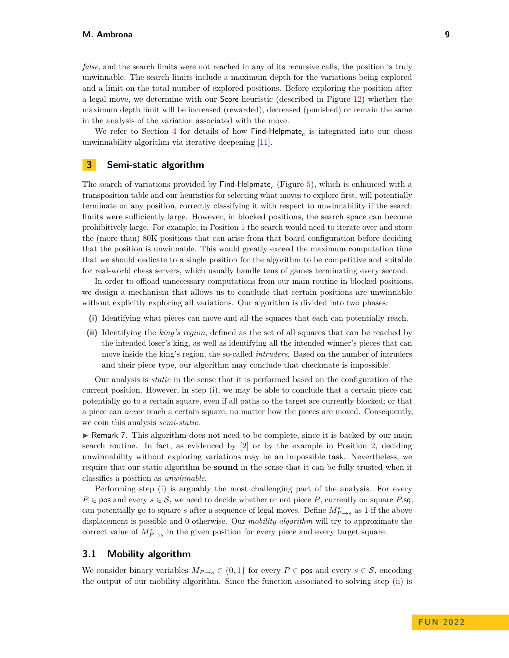*false*, and the search limits were not reached in any of its recursive calls, the position is truly unwinnable. The search limits include a maximum depth for the variations being explored and a limit on the total number of explored positions. Before exploring the position after a legal move, we determine with our Score heuristic (described in Figure [12\)](#page-20-0) whether the maximum depth limit will be increased (rewarded), decreased (punished) or remain the same in the analysis of the variation associated with the move.

We refer to Section [4](#page-15-0) for details of how  $\mathsf{Find}\text{-}\mathsf{Helpmate}_c$  is integrated into our chess unwinnability algorithm via iterative deepening [\[11\]](#page-19-20).

### <span id="page-8-0"></span>**3 Semi-static algorithm**

The search of variations provided by Find-Helpmate*<sup>c</sup>* (Figure [5\)](#page-7-1), which is enhanced with a transposition table and our heuristics for selecting what moves to explore first, will potentially terminate on any position, correctly classifying it with respect to unwinnability if the search limits were sufficiently large. However, in blocked positions, the search space can become prohibitively large. For example, in Position [1](#page-2-0) the search would need to iterate over and store the (more than) 80K positions that can arise from that board configuration before deciding that the position is unwinnable. This would greatly exceed the maximum computation time that we should dedicate to a single position for the algorithm to be competitive and suitable for real-world chess servers, which usually handle tens of games terminating every second.

In order to offload unnecessary computations from our main routine in blocked positions, we design a mechanism that allows us to conclude that certain positions are unwinnable without explicitly exploring all variations. Our algorithm is divided into two phases:

- <span id="page-8-2"></span>**(i)** Identifying what pieces can move and all the squares that each can potentially reach.
- <span id="page-8-3"></span>**(ii)** Identifying the *king's region*, defined as the set of all squares that can be reached by the intended loser's king, as well as identifying all the intended winner's pieces that can move inside the king's region, the so-called *intruders*. Based on the number of intruders and their piece type, our algorithm may conclude that checkmate is impossible.

Our analysis is *static* in the sense that it is performed based on the configuration of the current position. However, in step [\(i\)](#page-8-2), we may be able to conclude that a certain piece can potentially go to a certain square, even if all paths to the target are currently blocked; or that a piece can *never* reach a certain square, no matter how the pieces are moved. Consequently, we coin this analysis *semi-static*.

 $\triangleright$  Remark 7. This algorithm does not need to be complete, since it is backed by our main search routine. In fact, as evidenced by [\[2\]](#page-19-17) or by the example in Position [2,](#page-2-0) deciding unwinnability without exploring variations may be an impossible task. Nevertheless, we require that our static algorithm be **sound** in the sense that it can be fully trusted when it classifies a position as *unwinnable*.

Performing step [\(i\)](#page-8-2) is arguably the most challenging part of the analysis. For every  $P \in \text{pos}$  and every  $s \in \mathcal{S}$ , we need to decide whether or not piece P, currently on square P.sq, can potentially go to square *s* after a sequence of legal moves. Define  $M^*_{P\to s}$  as 1 if the above displacement is possible and 0 otherwise. Our *mobility algorithm* will try to approximate the correct value of  $M^*_{P\to s}$  in the given position for every piece and every target square.

### <span id="page-8-1"></span>**3.1 Mobility algorithm**

We consider binary variables  $M_{P\to s} \in \{0,1\}$  for every  $P \in \text{pos}$  and every  $s \in \mathcal{S}$ , encoding the output of our mobility algorithm. Since the function associated to solving step [\(ii\)](#page-8-3) is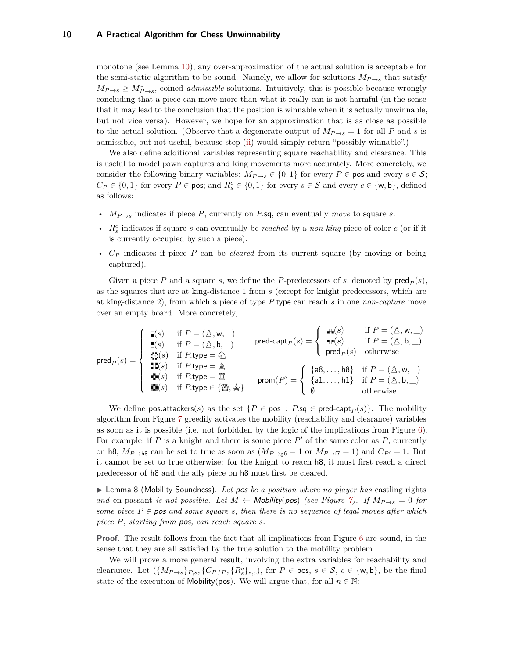monotone (see Lemma [10\)](#page-13-1), any over-approximation of the actual solution is acceptable for the semi-static algorithm to be sound. Namely, we allow for solutions  $M_{P\to s}$  that satisfy  $M_{P\rightarrow s} \geq M_{P\rightarrow s}^*$ , coined *admissible* solutions. Intuitively, this is possible because wrongly concluding that a piece can move more than what it really can is not harmful (in the sense that it may lead to the conclusion that the position is winnable when it is actually unwinnable, but not vice versa). However, we hope for an approximation that is as close as possible to the actual solution. (Observe that a degenerate output of  $M_{P\rightarrow s} = 1$  for all P and *s* is admissible, but not useful, because step [\(ii\)](#page-8-3) would simply return "possibly winnable".)

We also define additional variables representing square reachability and clearance. This is useful to model pawn captures and king movements more accurately. More concretely, we consider the following binary variables:  $M_{P\rightarrow s} \in \{0,1\}$  for every  $P \in \mathsf{pos}$  and every  $s \in \mathcal{S}$ ;  $C_P \in \{0,1\}$  for every  $P \in \text{pos}$ ; and  $R_s^c \in \{0,1\}$  for every  $s \in \mathcal{S}$  and every  $c \in \{\text{w},\text{b}\},\$  defined as follows:

- *MP*→*<sup>s</sup>* indicates if piece *P*, currently on *P.*sq, can eventually *move* to square *s*.
- *R<sup>c</sup> s* indicates if square *s* can eventually be *reached* by a *non-king* piece of color *c* (or if it is currently occupied by such a piece).
- *C<sup>P</sup>* indicates if piece *P* can be *cleared* from its current square (by moving or being captured).

Given a piece P and a square *s*, we define the P-predecessors of *s*, denoted by  $\text{pred}_P(s)$ , as the squares that are at king-distance 1 from *s* (except for knight predecessors, which are at king-distance 2), from which a piece of type *P.*type can reach *s* in one *non-capture* move over an empty board. More concretely,

$$
\text{pred}_P(s) = \left\{\begin{array}{ll} \mathbb{I}(s) & \text{if } P = (\mathbb{A}, \mathsf{w}, \_) \\ \mathbb{I}(s) & \text{if } P = (\mathbb{A}, \mathsf{b}, \_) \\ \mathbb{I}(s) & \text{if } P, \text{type} = \mathbb{Q} \end{array}\right. \quad \text{pred-capt}_P(s) = \left\{\begin{array}{ll} \mathbb{I}(s) & \text{if } P = (\mathbb{A}, \mathsf{w}, \_) \\ \mathbb{I}(s) & \text{if } P = (\mathbb{A}, \mathsf{b}, \_) \\ \mathbb{I}(s) & \text{if } P, \text{type} = \mathbb{Q} \end{array}\right. \quad \text{pred-capt}_P(s) = \left\{\begin{array}{ll} \mathbb{I}(s) & \text{if } P = (\mathbb{A}, \mathsf{b}, \_) \\ \mathbb{I}(s) & \text{otherwise} \end{array}\right. \quad \text{pred}_P(s) & \text{otherwise} \quad \text{pred}_P(s) = \left\{\begin{array}{ll} \mathbb{I}(s) & \text{otherwise} \\ \mathbb{I}(s) & \text{otherwise} \end{array}\right. \quad \text{pred}_P(s) = \left\{\begin{array}{ll} \mathbb{I}(s) & \text{otherwise} \\ \mathbb{I}(s) & \text{otherwise} \end{array}\right. \quad \text{pred}_P(s) = \left\{\begin{array}{ll} \mathbb{I}(s) & \text{otherwise} \end{array}\right. \quad \text{pred}_P(s) = \left\{\begin{array}{ll} \mathbb{I}(s) & \text{otherwise} \end{array}\right. \quad \text{pred}_P(s) = \left\{\begin{array}{ll} \mathbb{I}(s) & \text{otherwise} \end{array}\right. \quad \text{pred}_P(s) = \left\{\begin{array}{ll} \mathbb{I}(s) & \text{otherwise} \end{array}\right. \quad \text{pred}_P(s) = \left\{\begin{array}{ll} \mathbb{I}(s) & \text{otherwise} \end{array}\right. \quad \text{pred}_P(s) = \left\{\begin{array}{ll} \mathbb{I}(s) & \text{otherwise} \end{array}\right. \quad \text{pred}_P(s) = \left\{\begin{array}{ll} \mathbb{I}(s) & \text{otherwise} \end{array}\right. \quad \text{pred}_P(s) = \left\{\begin{array}{ll
$$

We define pos.attackers(*s*) as the set  ${P \in \text{pos} : P \text{.sq} \in \text{pred-capt}_P(s)}$ . The mobility algorithm from Figure [7](#page-11-0) greedily activates the mobility (reachability and clearance) variables as soon as it is possible (i.e. not forbidden by the logic of the implications from Figure [6\)](#page-10-0). For example, if  $P$  is a knight and there is some piece  $P'$  of the same color as  $P$ , currently on h8,  $M_{P\rightarrow \mathsf{h8}}$  can be set to true as soon as  $(M_{P\rightarrow \mathsf{g6}}=1$  or  $M_{P\rightarrow \mathsf{f7}}=1)$  and  $C_{P'}=1$ . But it cannot be set to true otherwise: for the knight to reach h8, it must first reach a direct predecessor of h8 and the ally piece on h8 must first be cleared.

<span id="page-9-0"></span>► Lemma 8 (Mobility Soundness). Let pos be a position where no player has castling rights *and* en passant *is not possible. Let*  $M \leftarrow \text{Mobility(pos)}$  *(see Figure [7\)](#page-11-0). If*  $M_{P\rightarrow s} = 0$  *for some piece*  $P \in \textbf{pos}$  *and some square s, then there is no sequence of legal moves after which piece P, starting from* pos*, can reach square s.*

**Proof.** The result follows from the fact that all implications from Figure [6](#page-10-0) are sound, in the sense that they are all satisfied by the true solution to the mobility problem.

We will prove a more general result, involving the extra variables for reachability and clearance. Let  $({M_{P\rightarrow s}})_{P,s}, {C_P}_P, {R_s^c}_{s,c}$ , for  $P \in \text{pos}, s \in \mathcal{S}, c \in {\text{w}, \text{b}}$ , be the final state of the execution of Mobility(pos). We will argue that, for all  $n \in \mathbb{N}$ :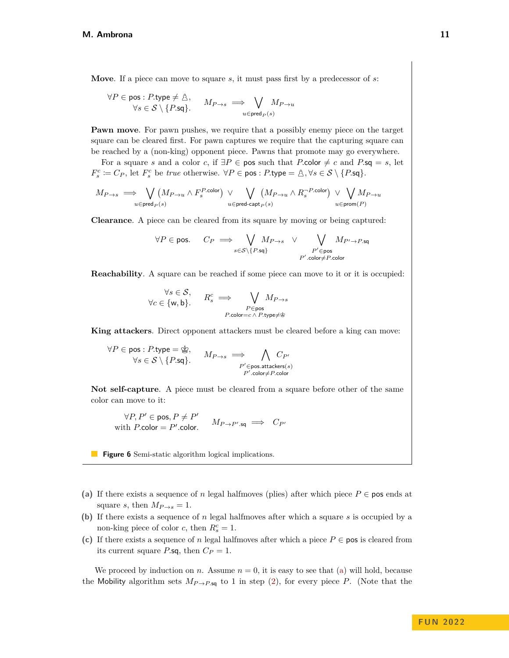<span id="page-10-0"></span>**Move**. If a piece can move to square *s*, it must pass first by a predecessor of *s*:

$$
\forall P \in \text{pos} : P.\text{type} \neq \mathcal{B}, \qquad M_{P \to s} \implies \bigvee_{u \in \text{pred}_P(s)} M_{P \to u}
$$

**Pawn move**. For pawn pushes, we require that a possibly enemy piece on the target square can be cleared first. For pawn captures we require that the capturing square can be reached by a (non-king) opponent piece. Pawns that promote may go everywhere.

For a square *s* and a color *c*, if  $\exists P \in \mathsf{pos}$  such that *P*.color  $\neq c$  and *P*.sq = *s*, let  $F_s^c := C_P$ , let  $F_s^c$  be *true* otherwise.  $\forall P \in \text{pos} : P.\text{type} = \mathbb{A}, \forall s \in S \setminus \{P.\text{sq}\}.$ 

$$
M_{P \rightarrow s} \implies \bigvee_{u \in \text{pred}_P(s)} (M_{P \rightarrow u} \land F_s^{P.\text{color}}) \ \vee \!\!\! \bigvee_{u \in \text{pred-capt}_P(s)} \!\!\!\!\! (M_{P \rightarrow u} \land R_s^{-P.\text{color}}) \ \vee \!\!\!\! \bigvee_{u \in \text{prom}(P)} \!\!\!\!\! M_{P \rightarrow u}
$$

**Clearance**. A piece can be cleared from its square by moving or being captured:

$$
\forall P \in \text{pos.} \quad C_P \implies \bigvee_{s \in \mathcal{S} \setminus \{P \text{.sq}\}} M_{P \to s} \quad \vee \quad \bigvee_{P' \in \text{pos}} M_{P' \to P \text{.sq}}
$$
\n
$$
P' \text{.color} \neq P \text{.color}
$$

**Reachability**. A square can be reached if some piece can move to it or it is occupied:

$$
\forall s \in \mathcal{S}, \qquad R_s^c \implies \bigvee_{P \in \text{pos}} M_{P \to s}
$$
  
 
$$
\forall c \in \{\mathsf{w}, \mathsf{b}\}. \qquad R_s^c \implies \bigvee_{P \in \text{pos}} M_{P \to s}
$$

**King attackers**. Direct opponent attackers must be cleared before a king can move:

$$
\forall P \in \text{pos} : P.\text{type} = \text{Exp}, \qquad M_{P \to s} \implies \bigwedge_{P' \in \text{pos}.\text{attackers}(s)} C_{P'} \\
\forall s \in \mathcal{S} \setminus \{P.\text{sq}\}.
$$

**Not self-capture**. A piece must be cleared from a square before other of the same color can move to it:

 $\forall P, P' \in \text{pos}, P \neq P'$ with *P*.color = *P'*.color.  $M_{P\rightarrow P' \text{sq}} \implies C_{P'}$ 

**Figure 6** Semi-static algorithm logical implications.

- <span id="page-10-1"></span>(a) If there exists a sequence of *n* legal halfmoves (plies) after which piece  $P \in \mathsf{pos}$  ends at square *s*, then  $M_{P\rightarrow s} = 1$ .
- <span id="page-10-2"></span>**(b)** If there exists a sequence of *n* legal halfmoves after which a square *s* is occupied by a non-king piece of color *c*, then  $R_s^c = 1$ .
- <span id="page-10-3"></span>(c) If there exists a sequence of *n* legal halfmoves after which a piece  $P \in \mathsf{pos}$  is cleared from its current square *P*.sq, then  $C_P = 1$ .

We proceed by induction on *n*. Assume  $n = 0$ , it is easy to see that [\(a\)](#page-10-1) will hold, because the Mobility algorithm sets  $M_{P\rightarrow P,\text{sq}}$  to 1 in step [\(2\)](#page-11-0), for every piece *P*. (Note that the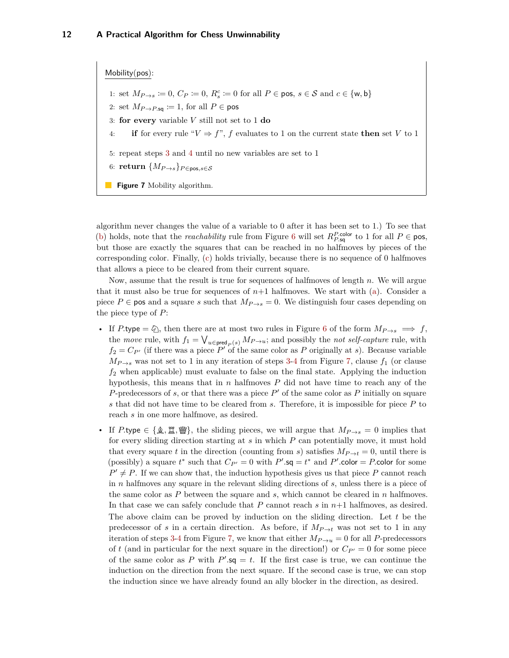#### <span id="page-11-0"></span>Mobility(pos):

- 1: set  $M_{P\rightarrow s} := 0$ ,  $C_P := 0$ ,  $R_s^c := 0$  for all  $P \in \text{pos}, s \in \mathcal{S}$  and  $c \in \{\text{w}, \text{b}\}\$
- 2: set  $M_{P\rightarrow P,\mathsf{sq}} \coloneqq 1$ , for all  $P \in \mathsf{pos}$
- 3: **for every** variable *V* still not set to 1 **do**
- 4: **if** for every rule " $V \Rightarrow f$ ", f evaluates to 1 on the current state **then** set V to 1
- 5: repeat steps [3](#page-11-0) and [4](#page-11-0) until no new variables are set to 1
- 6: **return**  $\{M_{P\rightarrow s}\}_{P\in \text{pos}, s\in \mathcal{S}}$
- **Figure 7** Mobility algorithm.

algorithm never changes the value of a variable to 0 after it has been set to 1.) To see that [\(b\)](#page-10-2) holds, note that the *reachability* rule from Figure [6](#page-10-0) will set  $R_{P,\text{sq}}^{P.\text{color}}$  to 1 for all  $P \in \text{pos}$ , but those are exactly the squares that can be reached in no halfmoves by pieces of the corresponding color. Finally, [\(c\)](#page-10-3) holds trivially, because there is no sequence of 0 halfmoves that allows a piece to be cleared from their current square.

Now, assume that the result is true for sequences of halfmoves of length *n*. We will argue that it must also be true for sequences of  $n+1$  halfmoves. We start with [\(a\)](#page-10-1). Consider a piece  $P \in \mathsf{pos}$  and a square *s* such that  $M_{P\to s} = 0$ . We distinguish four cases depending on the piece type of *P*:

- If *P*.type =  $\oslash$ , then there are at most two rules in Figure [6](#page-10-0) of the form  $M_{P\rightarrow s} \implies f$ , the *move* rule, with  $f_1 = \bigvee_{u \in \text{pred}_P(s)} M_{P \to u}$ ; and possibly the *not self-capture* rule, with  $f_2 = C_{P'}$  (if there was a piece  $P'$  of the same color as P originally at *s*). Because variable  $M_{P\rightarrow s}$  was not set to 1 in any iteration of steps [3-4](#page-11-0) from Figure [7,](#page-11-0) clause  $f_1$  (or clause *f*<sup>2</sup> when applicable) must evaluate to false on the final state. Applying the induction hypothesis, this means that in *n* halfmoves *P* did not have time to reach any of the *P*-predecessors of  $s$ , or that there was a piece  $P'$  of the same color as  $P$  initially on square *s* that did not have time to be cleared from *s*. Therefore, it is impossible for piece *P* to reach *s* in one more halfmove, as desired.
- If *P*.type ∈ { $\hat{\mathcal{L}}$ ,  $\hat{\Xi}$ ,  $\hat{\mathcal{L}}$ }, the sliding pieces, we will argue that  $M_{P\rightarrow s} = 0$  implies that for every sliding direction starting at *s* in which *P* can potentially move, it must hold that every square *t* in the direction (counting from *s*) satisfies  $M_{P\rightarrow t} = 0$ , until there is (possibly) a square  $t^*$  such that  $C_{P'} = 0$  with  $P'$ .sq =  $t^*$  and  $P'$ .color = *P*.color for some  $P' \neq P$ . If we can show that, the induction hypothesis gives us that piece P cannot reach in *n* halfmoves any square in the relevant sliding directions of *s*, unless there is a piece of the same color as *P* between the square and *s*, which cannot be cleared in *n* halfmoves. In that case we can safely conclude that *P* cannot reach *s* in *n*+1 halfmoves, as desired. The above claim can be proved by induction on the sliding direction. Let *t* be the predecessor of *s* in a certain direction. As before, if  $M_{P\to t}$  was not set to 1 in any iteration of steps [3-4](#page-11-0) from Figure [7,](#page-11-0) we know that either  $M_{P\to u} = 0$  for all *P*-predecessors of *t* (and in particular for the next square in the direction!) or  $C_{P'} = 0$  for some piece of the same color as P with  $P'$ . sq = t. If the first case is true, we can continue the induction on the direction from the next square. If the second case is true, we can stop the induction since we have already found an ally blocker in the direction, as desired.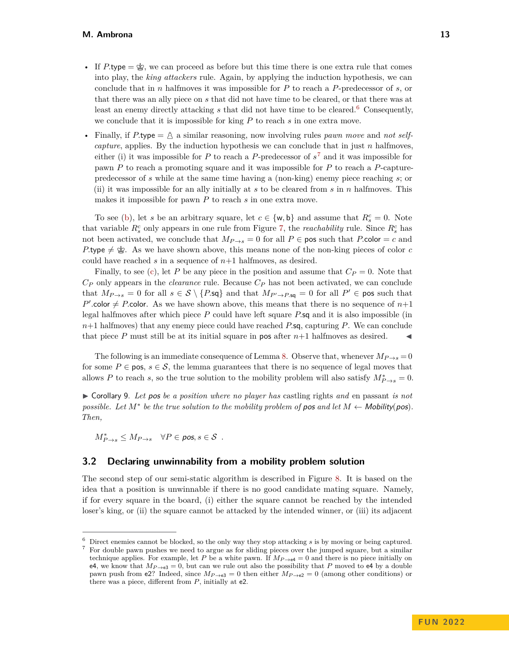- If *P*.type  $=\dot{\mathscr{L}}$ , we can proceed as before but this time there is one extra rule that comes into play, the *king attackers* rule. Again, by applying the induction hypothesis, we can conclude that in *n* halfmoves it was impossible for *P* to reach a *P*-predecessor of *s*, or that there was an ally piece on *s* that did not have time to be cleared, or that there was at least an enemy directly attacking *s* that did not have time to be cleared.[6](#page-12-1) Consequently, we conclude that it is impossible for king *P* to reach *s* in one extra move.
- Finally, if  $P$  type  $=$   $\triangle$  a similar reasoning, now involving rules *pawn move* and *not selfcapture*, applies. By the induction hypothesis we can conclude that in just *n* halfmoves, either (i) it was impossible for *P* to reach a *P*-predecessor of *s* [7](#page-12-2) and it was impossible for pawn *P* to reach a promoting square and it was impossible for *P* to reach a *P*-capturepredecessor of *s* while at the same time having a (non-king) enemy piece reaching *s*; or (ii) it was impossible for an ally initially at *s* to be cleared from *s* in *n* halfmoves. This makes it impossible for pawn *P* to reach *s* in one extra move.

To see [\(b\)](#page-10-2), let *s* be an arbitrary square, let  $c \in \{w, b\}$  and assume that  $R_s^c = 0$ . Note that variable  $R_s^c$  only appears in one rule from Figure [7,](#page-11-0) the *reachability* rule. Since  $R_s^c$  has not been activated, we conclude that  $M_{P\to s} = 0$  for all  $P \in \mathsf{pos}$  such that *P*.color = *c* and  $P$ -type  $\neq \mathcal{L}$ . As we have shown above, this means none of the non-king pieces of color *c* could have reached  $s$  in a sequence of  $n+1$  halfmoves, as desired.

Finally, to see [\(c\)](#page-10-3), let P be any piece in the position and assume that  $C_P = 0$ . Note that *C<sup>P</sup>* only appears in the *clearance* rule. Because *C<sup>P</sup>* has not been activated, we can conclude that  $M_{P\rightarrow s} = 0$  for all  $s \in S \setminus \{P.\mathsf{sq}\}\$ and that  $M_{P' \rightarrow P.\mathsf{sq}} = 0$  for all  $P' \in \mathsf{pos}$  such that  $P'$  color  $\neq$  *P*.color. As we have shown above, this means that there is no sequence of  $n+1$ legal halfmoves after which piece *P* could have left square *P.*sq and it is also impossible (in *n*+1 halfmoves) that any enemy piece could have reached *P.*sq, capturing *P*. We can conclude that piece  $P$  must still be at its initial square in pos after  $n+1$  halfmoves as desired.

The following is an immediate consequence of Lemma [8.](#page-9-0) Observe that, whenever  $M_{P\rightarrow s} = 0$ for some  $P \in \text{pos}$ ,  $s \in \mathcal{S}$ , the lemma guarantees that there is no sequence of legal moves that allows *P* to reach *s*, so the true solution to the mobility problem will also satisfy  $M^*_{P\rightarrow s} = 0$ .

<span id="page-12-0"></span>I Corollary 9. *Let* pos *be a position where no player has* castling rights *and* en passant *is not possible.* Let  $M^*$  be the true solution to the mobility problem of pos and let  $M \leftarrow$  Mobility(pos). *Then,*

 $M^*_{P\rightarrow s} \leq M_{P\rightarrow s}$   $\forall P \in \textit{pos}, s \in \mathcal{S}$ .

### **3.2 Declaring unwinnability from a mobility problem solution**

The second step of our semi-static algorithm is described in Figure [8.](#page-13-0) It is based on the idea that a position is unwinnable if there is no good candidate mating square. Namely, if for every square in the board, (i) either the square cannot be reached by the intended loser's king, or (ii) the square cannot be attacked by the intended winner, or (iii) its adjacent

<span id="page-12-2"></span><span id="page-12-1"></span><sup>6</sup> Direct enemies cannot be blocked, so the only way they stop attacking *s* is by moving or being captured. <sup>7</sup> For double pawn pushes we need to argue as for sliding pieces over the jumped square, but a similar technique applies. For example, let *P* be a white pawn. If  $M_{P\rightarrow\text{eq}}=0$  and there is no piece initially on e4, we know that  $M_{P\rightarrow e3} = 0$ , but can we rule out also the possibility that *P* moved to e4 by a double pawn push from e2? Indeed, since  $M_{P\to e3} = 0$  then either  $M_{P\to e2} = 0$  (among other conditions) or there was a piece, different from *P*, initially at e2.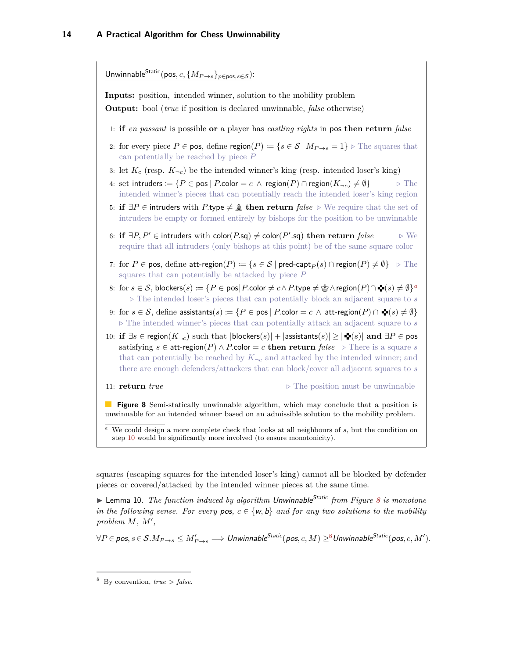<span id="page-13-0"></span>

<span id="page-13-2"></span>squares (escaping squares for the intended loser's king) cannot all be blocked by defender pieces or covered/attacked by the intended winner pieces at the same time.

<span id="page-13-1"></span>▶ Lemma 10. *The function induced by algorithm Unwinnable<sup>Static</sup> from Figure [8](#page-13-0) is monotone in the following sense. For every pos,*  $c \in \{w, b\}$  *and for any two solutions to the mobility* problem  $M$ ,  $M'$ ,

 $\forall P \in \textit{pos}, s \in \mathcal{S}. M_{P \to s} \leq M'_{P \to s} \Longrightarrow \textit{Unwinnable}^{\textit{Static}}(\textit{pos}, c, M) \geq^8 \textit{Unwinnable}^{\textit{Static}}(\textit{pos}, c, M').$  $\forall P \in \textit{pos}, s \in \mathcal{S}. M_{P \to s} \leq M'_{P \to s} \Longrightarrow \textit{Unwinnable}^{\textit{Static}}(\textit{pos}, c, M) \geq^8 \textit{Unwinnable}^{\textit{Static}}(\textit{pos}, c, M').$  $\forall P \in \textit{pos}, s \in \mathcal{S}. M_{P \to s} \leq M'_{P \to s} \Longrightarrow \textit{Unwinnable}^{\textit{Static}}(\textit{pos}, c, M) \geq^8 \textit{Unwinnable}^{\textit{Static}}(\textit{pos}, c, M').$ 

<span id="page-13-3"></span> $8$  By convention, *true*  $> false$ .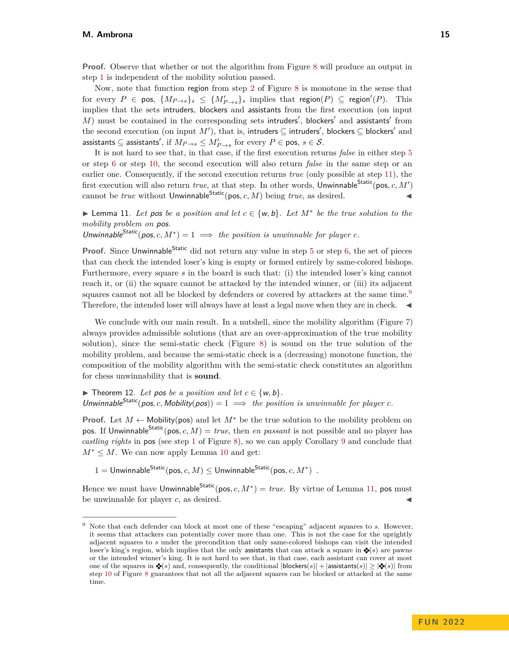**Proof.** Observe that whether or not the algorithm from Figure [8](#page-13-0) will produce an output in step [1](#page-13-0) is independent of the mobility solution passed.

Now, note that function region from step [2](#page-13-0) of Figure [8](#page-13-0) is monotone in the sense that  $\text{for every } P \in \text{pos}, \ \{M_{P\rightarrow s}\}_s \leq \{M'_{P\rightarrow s}\}_s \text{ implies that } \text{region}(P) \subseteq \text{region}'(P). \text{ This}$ implies that the sets intruders, blockers and assistants from the first execution (on input  $M$ ) must be contained in the corresponding sets intruders', blockers' and assistants' from the second execution (on input  $M'$ ), that is, i<mark>ntruders ⊆ intruders'</mark>, blockers ⊆ blockers' and assistants  $\subseteq$  assistants', if  $M_{P\rightarrow s}\leq M_{P\rightarrow s}'$  for every  $P\in$  pos,  $s\in\mathcal{S}.$ 

It is not hard to see that, in that case, if the first execution returns *false* in either step [5](#page-13-0) or step [6](#page-13-0) or step [10,](#page-13-0) the second execution will also return *false* in the same step or an earlier one. Consequently, if the second execution returns *true* (only possible at step [11\)](#page-13-0), the first execution will also return *true*, at that step. In other words, Unwinnable Static (pos,  $c, M'$ ) cannot be *true* without Unwinnable<sup>Static</sup>(pos, c, M) being *true*, as desired.

<span id="page-14-0"></span>► Lemma 11. Let pos be a position and let  $c \in \{w, b\}$ . Let  $M^*$  be the true solution to the *mobility problem on* pos*.*

Unwinnable<sup>Static</sup>(pos, c,  $M^*$ ) = 1  $\implies$  the position is unwinnable for player c.

**Proof.** Since Unwinnable<sup>Static</sup> did not return any value in step [5](#page-13-0) or step [6,](#page-13-0) the set of pieces that can check the intended loser's king is empty or formed entirely by same-colored bishops. Furthermore, every square *s* in the board is such that: (i) the intended loser's king cannot reach it, or (ii) the square cannot be attacked by the intended winner, or (iii) its adjacent squares cannot not all be blocked by defenders or covered by attackers at the same time.<sup>[9](#page-14-2)</sup> Therefore, the intended loser will always have at least a legal move when they are in check.  $\blacktriangleleft$ 

We conclude with our main result. In a nutshell, since the mobility algorithm (Figure [7\)](#page-11-0) always provides admissible solutions (that are an over-approximation of the true mobility solution), since the semi-static check (Figure [8\)](#page-13-0) is sound on the true solution of the mobility problem, and because the semi-static check is a (decreasing) monotone function, the composition of the mobility algorithm with the semi-static check constitutes an algorithm for chess unwinnability that is **sound**.

<span id="page-14-1"></span>▶ Theorem 12. Let pos be a position and let  $c \in \{w, b\}$ . Unwinnable<sup>Static</sup>(pos, c, Mobility(pos)) = 1  $\implies$  the position is unwinnable for player c.

**Proof.** Let  $M \leftarrow$  Mobility(pos) and let  $M^*$  be the true solution to the mobility problem on pos. If Unwinnable<sup>Static</sup>(pos, c, M) = *true*, then *en passant* is not possible and no player has *castling rights* in pos (see step [1](#page-13-0) of Figure [8\)](#page-13-0), so we can apply Corollary [9](#page-12-0) and conclude that  $M^* \leq M$ . We can now apply Lemma [10](#page-13-1) and get:

 $1 = \mathsf{Unwinnable}^{\mathsf{Static}}(\mathsf{pos},c,M) \le \mathsf{Unwinnable}^{\mathsf{Static}}(\mathsf{pos},c,M^*)\enspace.$ 

Hence we must have Unwinnable<sup>Static</sup>(pos,  $c, M^*$ ) = *true*. By virtue of Lemma [11,](#page-14-0) pos must be unwinnable for player  $c$ , as desired.

<span id="page-14-2"></span><sup>9</sup> Note that each defender can block at most one of these "escaping" adjacent squares to *s*. However, it seems that attackers can potentially cover more than one. This is not the case for the uprightly adjacent squares to *s* under the precondition that only same-colored bishops can visit the intended loser's king's region, which implies that the only assistants that can attack a square in  $\mathbf{\Phi}(s)$  are pawns or the intended winner's king. It is not hard to see that, in that case, each assistant can cover at most one of the squares in  $\blacktriangleleft(s)$  and, consequently, the conditional  $|blocks| > |{{\bf s}}(s)| \geq |{{\bf s}}(s)|$  from step [10](#page-13-0) of Figure [8](#page-13-0) guarantees that not all the adjacent squares can be blocked or attacked at the same time.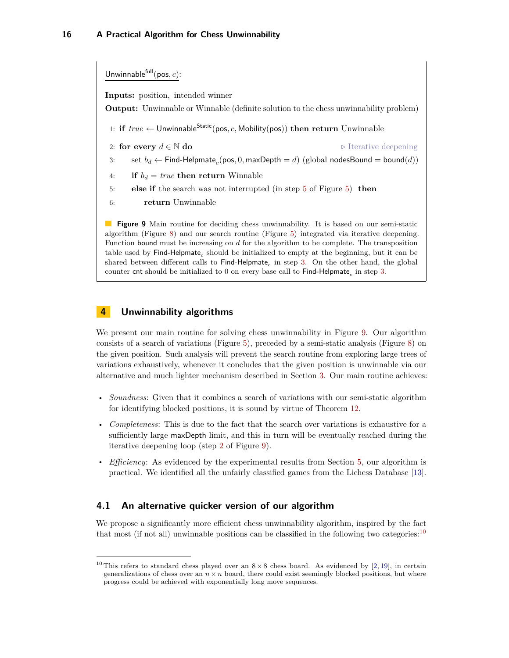<span id="page-15-1"></span>Unwinnable $f^{\text{full}}(\text{pos}, c)$ : **Inputs:** position, intended winner **Output:** Unwinnable or Winnable (definite solution to the chess unwinnability problem) 1: **if**  $true \leftarrow$  Unwinnable<sup>Static</sup>(pos, c, Mobility(pos)) **then return** Unwinnable 2: **for every**  $d \in \mathbb{N}$  **do**  $\triangleright$  Iterative deepening 3: set  $b_d \leftarrow$  Find-Helpmate<sub>c</sub>(pos, 0, maxDepth = *d*) (global nodesBound = bound(*d*)) 4: **if**  $b_d = true$  **then return** Winnable 5: **else if** the search was not interrupted (in step [5](#page-7-1) of Figure [5\)](#page-7-1) **then** 6: **return** Unwinnable **Figure 9** Main routine for deciding chess unwinnability. It is based on our semi-static algorithm (Figure [8\)](#page-13-0) and our search routine (Figure [5\)](#page-7-1) integrated via iterative deepening. Function bound must be increasing on *d* for the algorithm to be complete. The transposition  $t$ able used by  $\mathsf{Find}\text{-}\mathsf{Helpmate}_c$  should be initialized to empty at the beginning, but it can be shared between different calls to  $\mathsf{Find}\text{-}\mathsf{H}$ elpmate $_c$  in step [3.](#page-15-1) On the other hand, the global counter  ${\sf cnt}$  should be initialized to  $0$  on every base call to  ${\sf Find}\text{-}{\sf Helpmate}_c$  in step  $3.$ 

# <span id="page-15-0"></span>**4 Unwinnability algorithms**

We present our main routine for solving chess unwinnability in Figure [9.](#page-15-1) Our algorithm consists of a search of variations (Figure [5\)](#page-7-1), preceded by a semi-static analysis (Figure [8\)](#page-13-0) on the given position. Such analysis will prevent the search routine from exploring large trees of variations exhaustively, whenever it concludes that the given position is unwinnable via our alternative and much lighter mechanism described in Section [3.](#page-8-0) Our main routine achieves:

- *Soundness*: Given that it combines a search of variations with our semi-static algorithm for identifying blocked positions, it is sound by virtue of Theorem [12.](#page-14-1)
- *Completeness*: This is due to the fact that the search over variations is exhaustive for a sufficiently large maxDepth limit, and this in turn will be eventually reached during the iterative deepening loop (step [2](#page-15-1) of Figure [9\)](#page-15-1).
- *Efficiency*: As evidenced by the experimental results from Section [5,](#page-17-0) our algorithm is practical. We identified all the unfairly classified games from the Lichess Database [\[13\]](#page-19-19).

### **4.1 An alternative quicker version of our algorithm**

We propose a significantly more efficient chess unwinnability algorithm, inspired by the fact that most (if not all) unwinnable positions can be classified in the following two categories:  $10$ 

<span id="page-15-2"></span><sup>&</sup>lt;sup>10</sup> This refers to standard chess played over an  $8 \times 8$  chess board. As evidenced by [\[2,](#page-19-17) [19\]](#page-19-21), in certain generalizations of chess over an  $n \times n$  board, there could exist seemingly blocked positions, but where progress could be achieved with exponentially long move sequences.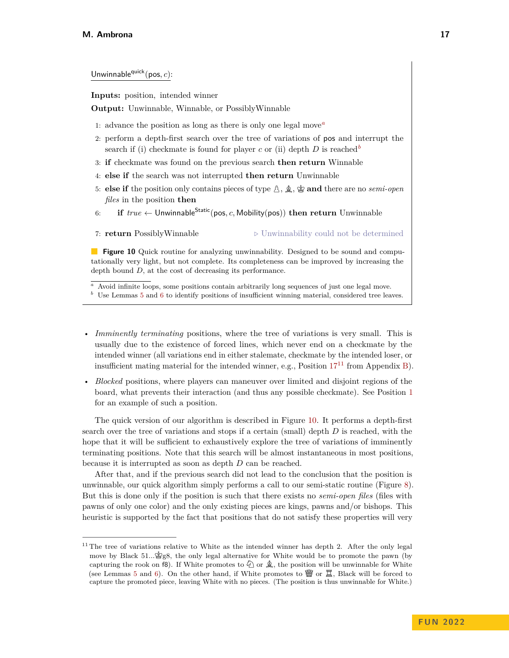<span id="page-16-3"></span>Unwinnable<sup>quick</sup>(pos,  $c$ ):

**Inputs:** position, intended winner

**Output:** Unwinnable, Winnable, or PossiblyWinnable

- 1: advance the position as long as there is only one legal move*[a](#page-16-0)*
- 2: perform a depth-first search over the tree of variations of pos and interrupt the search if (i) checkmate is found for player *c* or (ii) depth *D* is reached<sup>*[b](#page-16-1)*</sup>
- 3: **if** checkmate was found on the previous search **then return** Winnable
- 4: **else if** the search was not interrupted **then return** Unwinnable
- 5: **else if** the position only contains pieces of type  $\hat{\mathbb{A}}$ ,  $\hat{\mathbb{A}}$ ,  $\hat{\mathbb{B}}$  and there are no *semi-open files* in the position **then**
- 6: **if**  $true \leftarrow$  Unwinnable<sup>Static</sup>(pos, c, Mobility(pos)) **then return** Unwinnable

7: **return** PossiblyWinnable *...*  $\triangleright$  Unwinnability could not be determined

**Figure 10** Quick routine for analyzing unwinnability. Designed to be sound and computationally very light, but not complete. Its completeness can be improved by increasing the depth bound *D*, at the cost of decreasing its performance.

<span id="page-16-0"></span>*<sup>a</sup>* Avoid infinite loops, some positions contain arbitrarily long sequences of just one legal move.

- <span id="page-16-1"></span>*b* Use Lemmas [5](#page-6-3) and [6](#page-6-0) to identify positions of insufficient winning material, considered tree leaves.
- *Imminently terminating* positions, where the tree of variations is very small. This is usually due to the existence of forced lines, which never end on a checkmate by the intended winner (all variations end in either stalemate, checkmate by the intended loser, or insufficient mating material for the intended winner, e.g., Position  $17^{11}$  $17^{11}$  $17^{11}$  $17^{11}$  from Appendix [B\)](#page-21-0).
- *Blocked* positions, where players can maneuver over limited and disjoint regions of the board, what prevents their interaction (and thus any possible checkmate). See Position [1](#page-2-0) for an example of such a position.

The quick version of our algorithm is described in Figure [10.](#page-16-3) It performs a depth-first search over the tree of variations and stops if a certain (small) depth *D* is reached, with the hope that it will be sufficient to exhaustively explore the tree of variations of imminently terminating positions. Note that this search will be almost instantaneous in most positions, because it is interrupted as soon as depth *D* can be reached.

After that, and if the previous search did not lead to the conclusion that the position is unwinnable, our quick algorithm simply performs a call to our semi-static routine (Figure [8\)](#page-13-0). But this is done only if the position is such that there exists no *semi-open files* (files with pawns of only one color) and the only existing pieces are kings, pawns and/or bishops. This heuristic is supported by the fact that positions that do not satisfy these properties will very

<span id="page-16-2"></span> $11$  The tree of variations relative to White as the intended winner has depth 2. After the only legal move by Black  $51...\overset{*}{\otimes}88$ , the only legal alternative for White would be to promote the pawn (by capturing the rook on f8). If White promotes to  $\mathcal{O}_0$  or  $\hat{\mathcal{Q}}_0$ , the position will be unwinnable for White (see Lemmas [5](#page-6-3) and [6\)](#page-6-0). On the other hand, if White promotes to  $\mathbb{W}$  or  $\mathbb{Z}$ , Black will be forced to capture the promoted piece, leaving White with no pieces. (The position is thus unwinnable for White.)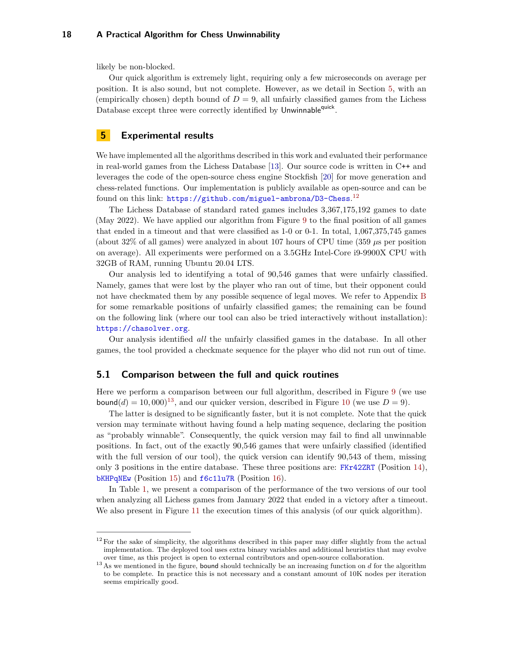likely be non-blocked.

Our quick algorithm is extremely light, requiring only a few microseconds on average per position. It is also sound, but not complete. However, as we detail in Section [5,](#page-17-0) with an (empirically chosen) depth bound of  $D = 9$ , all unfairly classified games from the Lichess Database except three were correctly identified by Unwinnable<sup>quick</sup>.

# <span id="page-17-0"></span>**5 Experimental results**

We have implemented all the algorithms described in this work and evaluated their performance in real-world games from the Lichess Database [\[13\]](#page-19-19). Our source code is written in C++ and leverages the code of the open-source chess engine Stockfish [\[20\]](#page-19-22) for move generation and chess-related functions. Our implementation is publicly available as open-source and can be found on this link: <https://github.com/miguel-ambrona/D3-Chess>.<sup>[12](#page-17-1)</sup>

The Lichess Database of standard rated games includes 3,367,175,192 games to date (May 2022). We have applied our algorithm from Figure [9](#page-15-1) to the final position of all games that ended in a timeout and that were classified as 1-0 or 0-1. In total, 1,067,375,745 games (about 32% of all games) were analyzed in about 107 hours of CPU time (359 *µ*s per position on average). All experiments were performed on a 3.5GHz Intel-Core i9-9900X CPU with 32GB of RAM, running Ubuntu 20.04 LTS.

Our analysis led to identifying a total of 90,546 games that were unfairly classified. Namely, games that were lost by the player who ran out of time, but their opponent could not have checkmated them by any possible sequence of legal moves. We refer to Appendix [B](#page-21-0) for some remarkable positions of unfairly classified games; the remaining can be found on the following link (where our tool can also be tried interactively without installation): <https://chasolver.org>.

Our analysis identified *all* the unfairly classified games in the database. In all other games, the tool provided a checkmate sequence for the player who did not run out of time.

### **5.1 Comparison between the full and quick routines**

Here we perform a comparison between our full algorithm, described in Figure [9](#page-15-1) (we use bound(*d*) = 10,000)<sup>[13](#page-17-2)</sup>, and our quicker version, described in Figure [10](#page-16-3) (we use  $D = 9$ ).

The latter is designed to be significantly faster, but it is not complete. Note that the quick version may terminate without having found a help mating sequence, declaring the position as "probably winnable". Consequently, the quick version may fail to find all unwinnable positions. In fact, out of the exactly 90,546 games that were unfairly classified (identified with the full version of our tool), the quick version can identify 90,543 of them, missing only 3 positions in the entire database. These three positions are: [FKr42ZRT](https://lichess.org/FKr42ZRT#125) (Position [14\)](#page-21-1), [bKHPqNEw](https://lichess.org/bKHPqNEw#81) (Position [15\)](#page-21-1) and [f6c1lu7R](https://lichess.org/f6c1lu7R#164) (Position [16\)](#page-22-0).

In Table [1,](#page-18-0) we present a comparison of the performance of the two versions of our tool when analyzing all Lichess games from January 2022 that ended in a victory after a timeout. We also present in Figure [11](#page-18-1) the execution times of this analysis (of our quick algorithm).

<span id="page-17-1"></span> $12$  For the sake of simplicity, the algorithms described in this paper may differ slightly from the actual implementation. The deployed tool uses extra binary variables and additional heuristics that may evolve over time, as this project is open to external contributors and open-source collaboration.

<span id="page-17-2"></span><sup>&</sup>lt;sup>13</sup> As we mentioned in the figure, bound should technically be an increasing function on *d* for the algorithm to be complete. In practice this is not necessary and a constant amount of 10K nodes per iteration seems empirically good.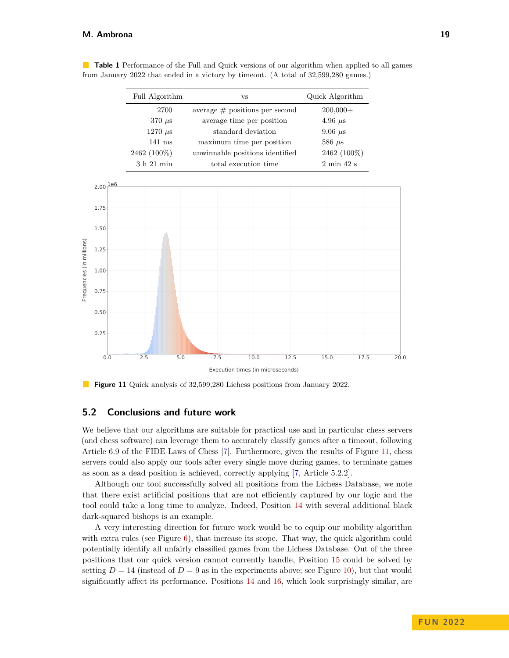#### **M. Ambrona 19**

| Full Algorithm | <b>VS</b>                        | Quick Algorithm               |
|----------------|----------------------------------|-------------------------------|
| 2700           | average $#$ positions per second | $200,000+$                    |
| $370 \ \mu s$  | average time per position        | $4.96 \text{ }\mu\text{s}$    |
| $1270 \ \mu s$ | standard deviation               | $9.06 \ \mu s$                |
| $141$ ms       | maximum time per position        | $586 \ \mu s$                 |
| 2462 (100\%)   | unwinnable positions identified  | 2462 (100\%)                  |
| $3h21$ min     | total execution time             | $2 \text{ min } 42 \text{ s}$ |

<span id="page-18-0"></span>**Table 1** Performance of the Full and Quick versions of our algorithm when applied to all games from January 2022 that ended in a victory by timeout. (A total of 32,599,280 games.)

<span id="page-18-1"></span>

**Figure 11** Quick analysis of 32,599,280 Lichess positions from January 2022.

### **5.2 Conclusions and future work**

We believe that our algorithms are suitable for practical use and in particular chess servers (and chess software) can leverage them to accurately classify games after a timeout, following Article 6.9 of the FIDE Laws of Chess [\[7\]](#page-19-2). Furthermore, given the results of Figure [11,](#page-18-1) chess servers could also apply our tools after every single move during games, to terminate games as soon as a dead position is achieved, correctly applying [\[7,](#page-19-2) Article 5.2.2].

Although our tool successfully solved all positions from the Lichess Database, we note that there exist artificial positions that are not efficiently captured by our logic and the tool could take a long time to analyze. Indeed, Position [14](#page-21-1) with several additional black dark-squared bishops is an example.

A very interesting direction for future work would be to equip our mobility algorithm with extra rules (see Figure [6\)](#page-10-0), that increase its scope. That way, the quick algorithm could potentially identify all unfairly classified games from the Lichess Database. Out of the three positions that our quick version cannot currently handle, Position [15](#page-21-1) could be solved by setting  $D = 14$  (instead of  $D = 9$  as in the experiments above; see Figure [10\)](#page-16-3), but that would significantly affect its performance. Positions [14](#page-21-1) and [16,](#page-22-0) which look surprisingly similar, are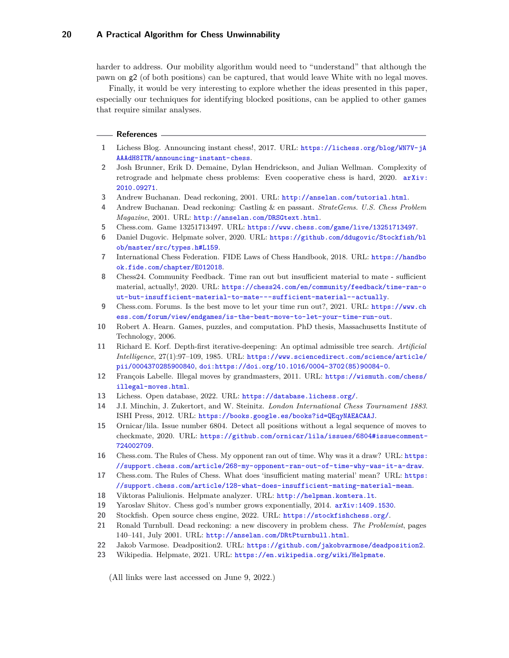harder to address. Our mobility algorithm would need to "understand" that although the pawn on g2 (of both positions) can be captured, that would leave White with no legal moves.

Finally, it would be very interesting to explore whether the ideas presented in this paper, especially our techniques for identifying blocked positions, can be applied to other games that require similar analyses.

#### **References**

- <span id="page-19-1"></span>**1** Lichess Blog. Announcing instant chess!, 2017. URL: [https://lichess.org/blog/WN7V-jA](https://lichess.org/blog/WN7V-jAAAAdH8ITR/announcing-instant-chess) [AAAdH8ITR/announcing-instant-chess](https://lichess.org/blog/WN7V-jAAAAdH8ITR/announcing-instant-chess).
- <span id="page-19-17"></span>**2** Josh Brunner, Erik D. Demaine, Dylan Hendrickson, and Julian Wellman. Complexity of retrograde and helpmate chess problems: Even cooperative chess is hard, 2020. [arXiv:](http://arxiv.org/abs/2010.09271) [2010.09271](http://arxiv.org/abs/2010.09271).
- <span id="page-19-4"></span>**3** Andrew Buchanan. Dead reckoning, 2001. URL: <http://anselan.com/tutorial.html>.
- <span id="page-19-5"></span>**4** Andrew Buchanan. Dead reckoning: Castling & en passant. *StrateGems. U.S. Chess Problem Magazine*, 2001. URL: <http://anselan.com/DRSGtext.html>.
- <span id="page-19-7"></span>**5** Chess.com. Game 13251713497. URL: <https://www.chess.com/game/live/13251713497>.
- <span id="page-19-15"></span>**6** Daniel Dugovic. Helpmate solver, 2020. URL: [https://github.com/ddugovic/Stockfish/bl](https://github.com/ddugovic/Stockfish/blob/master/src/types.h#L159) [ob/master/src/types.h#L159](https://github.com/ddugovic/Stockfish/blob/master/src/types.h#L159).
- <span id="page-19-2"></span>**7** International Chess Federation. FIDE Laws of Chess Handbook, 2018. URL: [https://handbo](https://handbook.fide.com/chapter/E012018) [ok.fide.com/chapter/E012018](https://handbook.fide.com/chapter/E012018).
- <span id="page-19-10"></span>**8** Chess24. Community Feedback. Time ran out but insufficient material to mate - sufficient material, actually!, 2020. URL: [https://chess24.com/en/community/feedback/time-ran-o](https://chess24.com/en/community/feedback/time-ran-out-but-insufficient-material-to-mate---sufficient-material--actually) [ut-but-insufficient-material-to-mate---sufficient-material--actually](https://chess24.com/en/community/feedback/time-ran-out-but-insufficient-material-to-mate---sufficient-material--actually).
- <span id="page-19-11"></span>**9** Chess.com. Forums. Is the best move to let your time run out?, 2021. URL: [https://www.ch](https://www.chess.com/forum/view/endgames/is-the-best-move-to-let-your-time-run-out) [ess.com/forum/view/endgames/is-the-best-move-to-let-your-time-run-out](https://www.chess.com/forum/view/endgames/is-the-best-move-to-let-your-time-run-out).
- <span id="page-19-18"></span>**10** Robert A. Hearn. Games, puzzles, and computation. PhD thesis, Massachusetts Institute of Technology, 2006.
- <span id="page-19-20"></span>**11** Richard E. Korf. Depth-first iterative-deepening: An optimal admissible tree search. *Artificial Intelligence*, 27(1):97–109, 1985. URL: [https://www.sciencedirect.com/science/article/](https://www.sciencedirect.com/science/article/pii/0004370285900840) [pii/0004370285900840](https://www.sciencedirect.com/science/article/pii/0004370285900840), [doi:https://doi.org/10.1016/0004-3702\(85\)90084-0](https://doi.org/https://doi.org/10.1016/0004-3702(85)90084-0).
- <span id="page-19-12"></span>**12** François Labelle. Illegal moves by grandmasters, 2011. URL: [https://wismuth.com/chess/](https://wismuth.com/chess/illegal-moves.html) [illegal-moves.html](https://wismuth.com/chess/illegal-moves.html).
- <span id="page-19-19"></span>**13** Lichess. Open database, 2022. URL: <https://database.lichess.org/>.
- <span id="page-19-0"></span>**14** J.I. Minchin, J. Zukertort, and W. Steinitz. *London International Chess Tournament 1883*. ISHI Press, 2012. URL: <https://books.google.es/books?id=QEqyNAEACAAJ>.
- <span id="page-19-16"></span>**15** Ornicar/lila. Issue number 6804. Detect all positions without a legal sequence of moves to checkmate, 2020. URL: [https://github.com/ornicar/lila/issues/6804#issuecomment-](https://github.com/ornicar/lila/issues/6804#issuecomment-724002709)[724002709](https://github.com/ornicar/lila/issues/6804#issuecomment-724002709).
- <span id="page-19-8"></span>**16** Chess.com. The Rules of Chess. My opponent ran out of time. Why was it a draw? URL: [https:](https://support.chess.com/article/268-my-opponent-ran-out-of-time-why-was-it-a-draw) [//support.chess.com/article/268-my-opponent-ran-out-of-time-why-was-it-a-draw](https://support.chess.com/article/268-my-opponent-ran-out-of-time-why-was-it-a-draw).
- <span id="page-19-9"></span>**17** Chess.com. The Rules of Chess. What does 'insufficient mating material' mean? URL: [https:](https://support.chess.com/article/128-what-does-insufficient-mating-material-mean) [//support.chess.com/article/128-what-does-insufficient-mating-material-mean](https://support.chess.com/article/128-what-does-insufficient-mating-material-mean).
- <span id="page-19-14"></span>**18** Viktoras Paliulionis. Helpmate analyzer. URL: <http://helpman.komtera.lt>.
- <span id="page-19-21"></span>**19** Yaroslav Shitov. Chess god's number grows exponentially, 2014. [arXiv:1409.1530](http://arxiv.org/abs/1409.1530).
- <span id="page-19-22"></span>**20** Stockfish. Open source chess engine, 2022. URL: <https://stockfishchess.org/>.
- <span id="page-19-6"></span>**21** Ronald Turnbull. Dead reckoning: a new discovery in problem chess. *The Problemist*, pages 140–141, July 2001. URL: <http://anselan.com/DRtPturnbull.html>.
- <span id="page-19-13"></span>**22** Jakob Varmose. Deadposition2. URL: <https://github.com/jakobvarmose/deadposition2>.
- <span id="page-19-3"></span>**23** Wikipedia. Helpmate, 2021. URL: <https://en.wikipedia.org/wiki/Helpmate>.

(All links were last accessed on June 9, 2022.)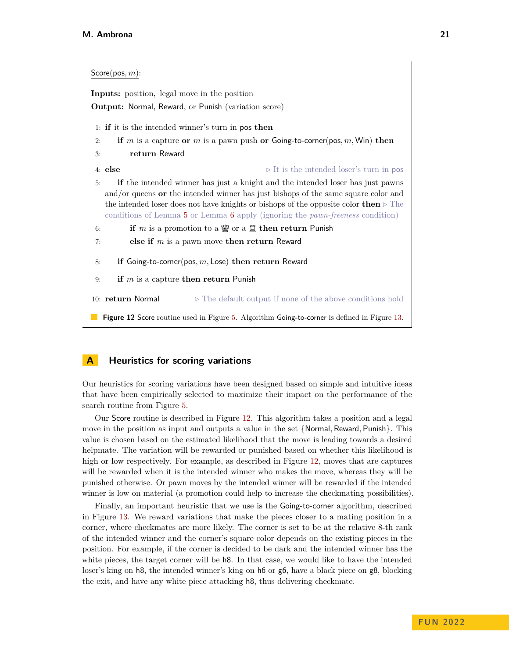<span id="page-20-0"></span>

| $Score(pos, m)$ :                                                                                                                                                                                                                                                                                                                                                  |  |  |
|--------------------------------------------------------------------------------------------------------------------------------------------------------------------------------------------------------------------------------------------------------------------------------------------------------------------------------------------------------------------|--|--|
| <b>Inputs:</b> position, legal move in the position                                                                                                                                                                                                                                                                                                                |  |  |
| Output: Normal, Reward, or Punish (variation score)                                                                                                                                                                                                                                                                                                                |  |  |
| 1: if it is the intended winner's turn in pos then                                                                                                                                                                                                                                                                                                                 |  |  |
| if m is a capture or m is a pawn push or Going-to-corner (pos, m, Win) then<br>2:                                                                                                                                                                                                                                                                                  |  |  |
| return Reward                                                                                                                                                                                                                                                                                                                                                      |  |  |
| $4:$ else<br>$\triangleright$ It is the intended loser's turn in pos                                                                                                                                                                                                                                                                                               |  |  |
| if the intended winner has just a knight and the intended loser has just pawns<br>5:<br>and/or queens or the intended winner has just bishops of the same square color and<br>the intended loser does not have knights or bishops of the opposite color then $\triangleright$ The<br>conditions of Lemma 5 or Lemma 6 apply (ignoring the pawn-freeness condition) |  |  |
| if m is a promotion to a $\mathfrak{F}$ or a $\mathfrak{I}$ then return Punish<br>6:                                                                                                                                                                                                                                                                               |  |  |
| else if $m$ is a pawn move then return Reward<br>7:                                                                                                                                                                                                                                                                                                                |  |  |
| if Going-to-corner(pos, $m$ , Lose) then return Reward<br>8:                                                                                                                                                                                                                                                                                                       |  |  |
| if $m$ is a capture then return Punish<br>9:                                                                                                                                                                                                                                                                                                                       |  |  |
| 10: return Normal<br>$\triangleright$ The default output if none of the above conditions hold                                                                                                                                                                                                                                                                      |  |  |
| Figure 12 Score routine used in Figure 5. Algorithm Going-to-corner is defined in Figure 13.                                                                                                                                                                                                                                                                       |  |  |

## <span id="page-20-1"></span>**A Heuristics for scoring variations**

Our heuristics for scoring variations have been designed based on simple and intuitive ideas that have been empirically selected to maximize their impact on the performance of the search routine from Figure [5.](#page-7-1)

Our Score routine is described in Figure [12.](#page-20-0) This algorithm takes a position and a legal move in the position as input and outputs a value in the set {Normal*,* Reward*,* Punish}. This value is chosen based on the estimated likelihood that the move is leading towards a desired helpmate. The variation will be rewarded or punished based on whether this likelihood is high or low respectively. For example, as described in Figure [12,](#page-20-0) moves that are captures will be rewarded when it is the intended winner who makes the move, whereas they will be punished otherwise. Or pawn moves by the intended winner will be rewarded if the intended winner is low on material (a promotion could help to increase the checkmating possibilities).

Finally, an important heuristic that we use is the Going-to-corner algorithm, described in Figure [13.](#page-21-2) We reward variations that make the pieces closer to a mating position in a corner, where checkmates are more likely. The corner is set to be at the relative 8-th rank of the intended winner and the corner's square color depends on the existing pieces in the position. For example, if the corner is decided to be dark and the intended winner has the white pieces, the target corner will be  $h$ 8. In that case, we would like to have the intended loser's king on h8, the intended winner's king on h6 or g6, have a black piece on g8, blocking the exit, and have any white piece attacking h8, thus delivering checkmate.

 $\overline{\phantom{a}}$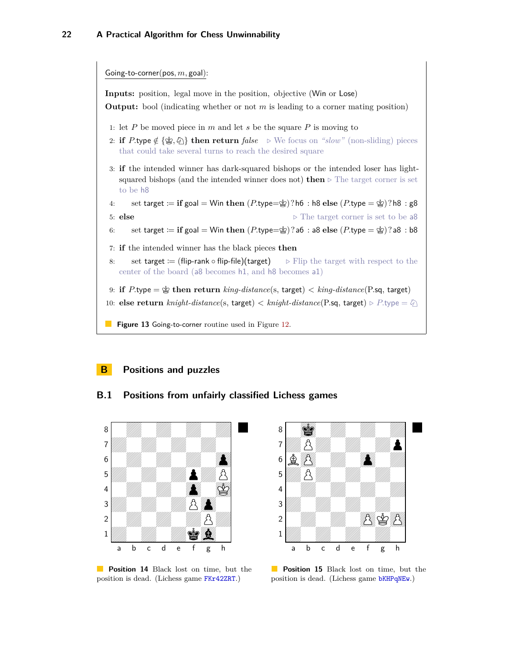<span id="page-21-2"></span>

**Inputs:** position, legal move in the position, objective (Win or Lose)

**Output:** bool (indicating whether or not *m* is leading to a corner mating position)

- 1: let *P* be moved piece in *m* and let *s* be the square *P* is moving to
- 2: **if**  $P$  **hype**  $\notin {\mathscr{B}}, \mathscr{D}$  **then return**  $false \rightarrow \mathbb{W}$  focus on *"slow"* (non-sliding) pieces that could take several turns to reach the desired square
- 3: **if** the intended winner has dark-squared bishops or the intended loser has lightsquared bishops (and the intended winner does not) **then**  $\triangleright$  The target corner is set to be h8
- 4: set target  $:=$  **if** goal  $=$  Win then  $(P.\text{type}=\hat{\mathscr{C}})$ ?h6 : h8 else  $(P.\text{type}=\hat{\mathscr{C}})$ ?h8 : g8 5: **else**  $\triangleright$  The target corner is set to be a8
- 6: set target  $:=$  **if** goal  $=$  Win then  $(P.\text{type}=\hat{\mathbb{F}})$ ?a6 : a8 else  $(P.\text{type}=\hat{\mathbb{F}})$ ?a8 : b8
- 7: **if** the intended winner has the black pieces **then**
- 8: set target := (flip-rank  $\circ$  flip-file)(target)  $\Rightarrow$  Flip the target with respect to the center of the board (a8 becomes h1, and h8 becomes a1)

9: **if**  $P$ *type* =  $\circledast$  **then return**  $\mathit{king\text{-}distance}$  (s, target)  $\lt$   $\mathit{king\text{-}distance}$  (P*sq, target)* 

- 10: **else return** *knight-distance*(s, target)  $\lt$  *knight-distance*(P.sq, target)  $\triangleright P$ .type  $= \varnothing$ )
- **Figure 13** Going-to-corner routine used in Figure [12.](#page-20-0)

# <span id="page-21-0"></span>**B Positions and puzzles**

### **B.1 Positions from unfairly classified Lichess games**

<span id="page-21-1"></span>

 $8$  0  $\frac{1}{2}$  0  $\frac{1}{2}$  0  $\frac{1}{2}$  0  $\frac{1}{2}$  0  $\frac{1}{2}$  0  $\frac{1}{2}$  0  $\frac{1}{2}$  0  $\frac{1}{2}$  0  $\frac{1}{2}$  0  $\frac{1}{2}$  0  $\frac{1}{2}$  0  $\frac{1}{2}$  0  $\frac{1}{2}$  0  $\frac{1}{2}$  0  $\frac{1}{2}$  0  $\frac{1}{2}$  0  $\frac{1}{2}$  0  $\frac{1}{2}$  0  $7$ *V*///////////2 <sup>6</sup> BO0Z0o0Z  $5$  and  $2$  and  $20$  and  $20$ 4 | **Andrew Allin, Allin, Allin, Allin, Allin,** Allin, Allin, Allin, Allin, Allin, Allin, Allin, Allin, Allin, A  $3$   $\frac{2}{\frac{1}{2}}$   $\frac{2}{\frac{1}{2}}$   $\frac{2}{\frac{1}{2}}$   $\frac{2}{\frac{1}{2}}$   $\frac{2}{\frac{1}{2}}$   $\frac{2}{\frac{1}{2}}$  $2$  0  $\frac{1}{2}$  0  $\frac{1}{2}$  0  $\frac{1}{2}$  0  $\frac{1}{2}$  0  $\frac{1}{2}$  0  $\frac{1}{2}$  0  $\frac{1}{2}$  $1$   $\frac{1}{2}$   $\frac{1}{2}$   $\frac{1}{2}$   $\frac{1}{2}$   $\frac{1}{2}$   $\frac{1}{2}$   $\frac{1}{2}$   $\frac{1}{2}$   $\frac{1}{2}$   $\frac{1}{2}$   $\frac{1}{2}$   $\frac{1}{2}$   $\frac{1}{2}$   $\frac{1}{2}$   $\frac{1}{2}$   $\frac{1}{2}$   $\frac{1}{2}$   $\frac{1}{2}$   $\frac{1}{2}$   $\frac{1}{2}$   $\frac{1}{2}$   $\frac{1}{2$ a b c d e f g h

**Position 14** Black lost on time, but the position is dead. (Lichess game [FKr42ZRT](https://lichess.org/FKr42ZRT#125).)

**Position 15** Black lost on time, but the position is dead. (Lichess game [bKHPqNEw](https://lichess.org/bKHPqNEw#81).)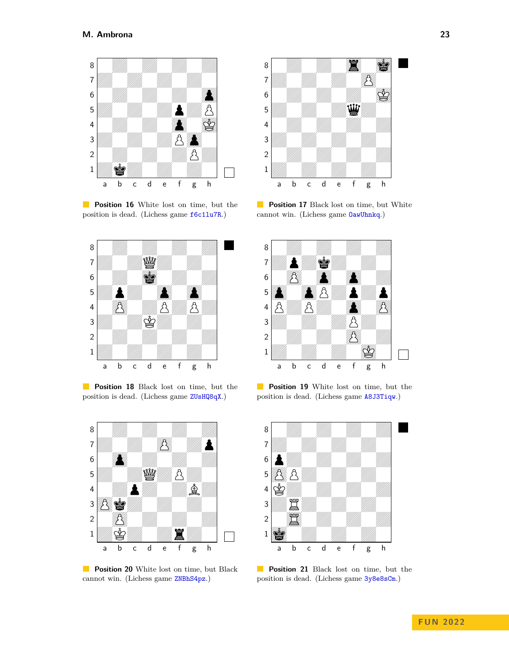<span id="page-22-0"></span>

**Position 16** White lost on time, but the position is dead. (Lichess game [f6c1lu7R](https://lichess.org/f6c1lu7R#164).)



**Position 18** Black lost on time, but the position is dead. (Lichess game [ZUsHQ8qX](https://lichess.org/ZUsHQ8qX#171).)



**Position 20** White lost on time, but Black cannot win. (Lichess game [ZNBhS4pz](https://lichess.org/ZNBhS4pz#74).)



**Position 17** Black lost on time, but White cannot win. (Lichess game [OawUhnkq](https://lichess.org/OawUhnkq#101).)



**Position 19** White lost on time, but the position is dead. (Lichess game [A8J3Tiqw](https://lichess.org/A8J3Tiqw#90).)



**Position 21** Black lost on time, but the position is dead. (Lichess game [3y8e8sCm](https://lichess.org/3y8e8sCm#121).)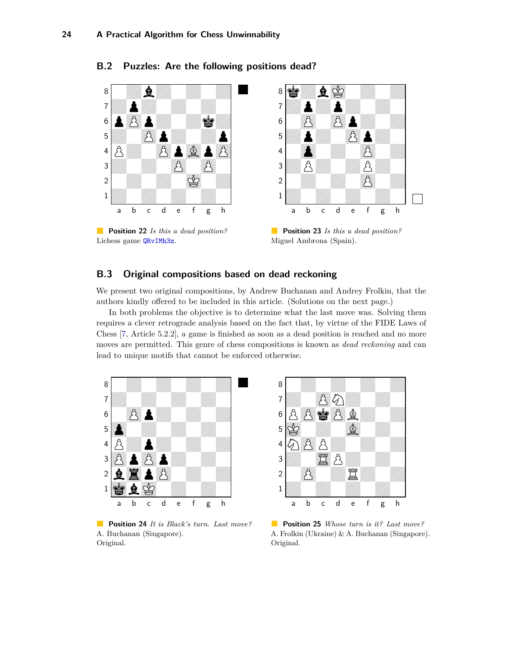**B.2 Puzzles: Are the following positions dead?**



**Position 22** *Is this a dead position?* Lichess game [QRvIMh3z](https://lichess.org/QRvIMh3z#117).



**Position 23** *Is this a dead position?* Miguel Ambrona (Spain).

# <span id="page-23-0"></span>**B.3 Original compositions based on dead reckoning**

We present two original compositions, by Andrew Buchanan and Andrey Frolkin, that the authors kindly offered to be included in this article. (Solutions on the next page.)

In both problems the objective is to determine what the last move was. Solving them requires a clever retrograde analysis based on the fact that, by virtue of the FIDE Laws of Chess [\[7,](#page-19-2) Article 5.2.2], a game is finished as soon as a dead position is reached and no more moves are permitted. This genre of chess compositions is known as *dead reckoning* and can lead to unique motifs that cannot be enforced otherwise.

<span id="page-23-1"></span>

**Position 24** *It is Black's turn. Last move?* A. Buchanan (Singapore). Original.



**Position 25** *Whose turn is it? Last move?* A. Frolkin (Ukraine) & A. Buchanan (Singapore). Original.